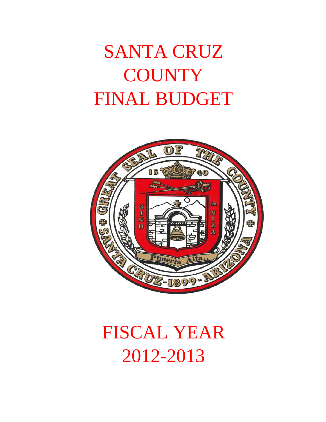# SANTA CRUZ **COUNTY** FINAL BUDGET



# FISCAL YEAR 2012-2013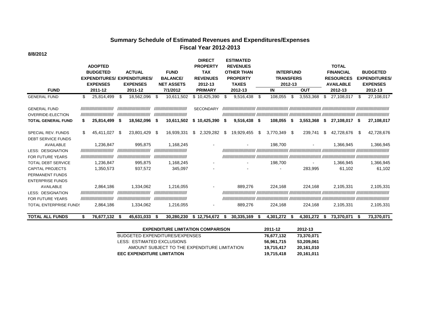### **Summary Schedule of Estimated Revenues and Expenditures/Expenses Fiscal Year 2012-2013**

**8/8/2012**

|                                                |    | <b>ADOPTED</b>                           |    |                                          |      |                                          |     | <b>DIRECT</b><br><b>PROPERTY</b> |      | <b>ESTIMATED</b><br><b>REVENUES</b> |                  |                  |            |                             |     | <b>TOTAL</b>               |                      |                               |
|------------------------------------------------|----|------------------------------------------|----|------------------------------------------|------|------------------------------------------|-----|----------------------------------|------|-------------------------------------|------------------|------------------|------------|-----------------------------|-----|----------------------------|----------------------|-------------------------------|
|                                                |    | <b>BUDGETED</b>                          |    | <b>ACTUAL</b>                            |      | <b>FUND</b>                              |     | <b>TAX</b>                       |      | <b>OTHER THAN</b>                   |                  | <b>INTERFUND</b> |            |                             |     | <b>FINANCIAL</b>           |                      | <b>BUDGETED</b>               |
|                                                |    | <b>EXPENDITURES/</b>                     |    | <b>EXPENDITURES</b>                      |      | <b>BALANCE/</b>                          |     | <b>REVENUES</b>                  |      | <b>PROPERTY</b>                     | <b>TRANSFERS</b> |                  |            | <b>RESOURCES</b>            |     |                            | <b>EXPENDITURES/</b> |                               |
| <b>FUND</b>                                    |    | <b>EXPENSES</b><br>2011-12               |    | <b>EXPENSES</b><br>2011-12               |      | <b>NET ASSETS</b><br>7/1/2012            |     | 2012-13<br><b>PRIMARY</b>        |      | <b>TAXES</b><br>2012-13             | 2012-13<br>IN    |                  | <b>OUT</b> | <b>AVAILABLE</b><br>2012-13 |     | <b>EXPENSES</b><br>2012-13 |                      |                               |
| <b>GENERAL FUND</b>                            | \$ | 25,814,499                               | S  | 18,562,096                               | -\$  | 10,611,502                               |     | \$10,425,390                     | - \$ | 9,516,438                           | -\$              | 108,055          | \$         | 3,553,368                   | \$. | 27,108,017                 | -S                   | 27,108,017                    |
| <b>GENERAL FUND</b>                            |    | ,,,,,,,,,,,,,,,,,,,,,,,,,,               |    | ,,,,,,,,,,,,,,,,,,,,,,,,,                |      | ,,,,,,,,,,,,,,,,,,,,,,,,,,               |     | <b>SECONDARY</b>                 |      |                                     |                  |                  |            |                             |     |                            |                      |                               |
| OVERRIDE-ELECTION<br><b>TOTAL GENERAL FUND</b> |    | ,,,,,,,,,,,,,,,,,,,,,,,,,,<br>25,814,499 | S  | ,,,,,,,,,,,,,,,,,,,,,,,,,,<br>18,562,096 | S.   | ,,,,,,,,,,,,,,,,,,,,,,,,,,<br>10,611,502 | \$  | 10,425,390                       | S    | 9,516,438                           | - \$             | 108.055          | 5          | 3,553,368                   | S.  | 27,108,017 \$              |                      | 27,108,017                    |
| SPECIAL REV. FUNDS                             | S  | 45,411,027                               | -S | 23,801,429                               | - \$ | 16,939,331                               | \$. | 2,329,282                        | S    | 19,929,455                          | S                | 3,770,349        | \$         | 239,741                     | S.  | 42,728,676                 | -S                   | 42,728,676                    |
| <b>DEBT SERVICE FUNDS</b>                      |    |                                          |    |                                          |      |                                          |     |                                  |      |                                     |                  |                  |            |                             |     |                            |                      |                               |
| <b>AVAILABLE</b>                               |    | 1,236,847                                |    | 995,875                                  |      | 1,168,245                                |     |                                  |      |                                     |                  | 198,700          |            |                             |     | 1,366,945                  |                      | 1,366,945                     |
| <b>LESS: DESIGNATION</b>                       |    | ,,,,,,,,,,,,,,,,,,,,,,,,,,               |    | ,,,,,,,,,,,,,,,,,,,,,,,,,,               |      | ,,,,,,,,,,,,,,,,,,,,,,,,,,               |     |                                  |      |                                     |                  |                  |            |                             |     |                            |                      | ' /////////////////////////// |
| <b>FOR FUTURE YEARS</b>                        |    | ////////////////////////////             |    | ,,,,,,,,,,,,,,,,,,,,,,,,,,               |      | ,,,,,,,,,,,,,,,,,,,,,,,,,,               |     |                                  |      |                                     |                  |                  |            |                             |     |                            |                      |                               |
| <b>TOTAL DEBT SERVICE</b>                      |    | 1,236,847                                |    | 995,875                                  |      | 1,168,245                                |     |                                  |      |                                     |                  | 198.700          |            |                             |     | 1,366,945                  |                      | 1,366,945                     |
| <b>CAPITAL PROJECTS</b>                        |    | 1,350,573                                |    | 937,572                                  |      | 345,097                                  |     |                                  |      |                                     |                  |                  |            | 283,995                     |     | 61,102                     |                      | 61,102                        |
| PERMANENT FUNDS                                |    |                                          |    |                                          |      |                                          |     |                                  |      |                                     |                  |                  |            |                             |     |                            |                      |                               |
| <b>ENTERPRISE FUNDS</b>                        |    |                                          |    |                                          |      |                                          |     |                                  |      |                                     |                  |                  |            |                             |     |                            |                      |                               |
| <b>AVAILABLE</b>                               |    | 2,864,186                                |    | 1,334,062                                |      | 1,216,055                                |     |                                  |      | 889,276                             |                  | 224.168          |            | 224.168                     |     | 2.105.331                  |                      | 2,105,331                     |
| <b>LESS: DESIGNATION</b>                       |    | ,,,,,,,,,,,,,,,,,,,,,,,,,,,              |    | ,,,,,,,,,,,,,,,,,,,,,,,,,,               |      | ,,,,,,,,,,,,,,,,,,,,,,,,,,               |     |                                  |      |                                     |                  |                  |            |                             |     |                            |                      |                               |
| <b>FOR FUTURE YEARS</b>                        |    | ,,,,,,,,,,,,,,,,,,,,,,,,,,               |    | ,,,,,,,,,,,,,,,,,,,,,,,,,,               |      | ,,,,,,,,,,,,,,,,,,,,,,,,,,,              |     |                                  |      |                                     |                  |                  |            |                             |     |                            |                      |                               |
| <b>TOTAL ENTERPRISE FUNDS</b>                  |    | 2,864,186                                |    | 1,334,062                                |      | 1,216,055                                |     |                                  |      | 889,276                             |                  | 224.168          |            | 224.168                     |     | 2,105,331                  |                      | 2,105,331                     |

**TOTAL ALL FUNDS \$ 76,677,132 \$ 45,631,033 \$ 30,280,230 \$ 12,754,672 \$ 30,335,169 \$ 4,301,272 \$ 4,301,272 \$ 73,370,071 \$ 73,370,071**

| <b>EXPENDITURE LIMITATION COMPARISON</b>     | 2011-12    | 2012-13    |
|----------------------------------------------|------------|------------|
| BUDGETED EXPENDITURES/EXPENSES               | 76.677.132 | 73.370.071 |
| LESS: ESTIMATED EXCLUSIONS                   | 56.961.715 | 53,209,061 |
| AMOUNT SUBJECT TO THE EXPENDITURE LIMITATION | 19.715.417 | 20.161.010 |
| <b>EEC EXPENDITURE LIMITATION</b>            | 19,715,418 | 20.161.011 |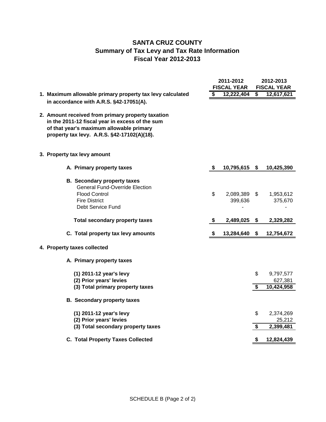## **SANTA CRUZ COUNTY Summary of Tax Levy and Tax Rate Information Fiscal Year 2012-2013**

|                                                                                                                                                                                                 | 2011-2012<br><b>FISCAL YEAR</b> |                         |          | 2012-2013<br><b>FISCAL YEAR</b>    |  |
|-------------------------------------------------------------------------------------------------------------------------------------------------------------------------------------------------|---------------------------------|-------------------------|----------|------------------------------------|--|
| 1. Maximum allowable primary property tax levy calculated                                                                                                                                       | \$                              | 12,222,404              | \$       | 12,617,621                         |  |
| in accordance with A.R.S. §42-17051(A).                                                                                                                                                         |                                 |                         |          |                                    |  |
| 2. Amount received from primary property taxation<br>in the 2011-12 fiscal year in excess of the sum<br>of that year's maximum allowable primary<br>property tax levy. A.R.S. §42-17102(A)(18). |                                 |                         |          |                                    |  |
| 3. Property tax levy amount                                                                                                                                                                     |                                 |                         |          |                                    |  |
| A. Primary property taxes                                                                                                                                                                       | \$                              | 10,795,615 \$           |          | 10,425,390                         |  |
| <b>B.</b> Secondary property taxes<br><b>General Fund-Override Election</b><br><b>Flood Control</b><br><b>Fire District</b><br>Debt Service Fund                                                | \$                              | 2,089,389 \$<br>399,636 |          | 1,953,612<br>375,670               |  |
| <b>Total secondary property taxes</b>                                                                                                                                                           | \$                              | 2,489,025               | - \$     | 2,329,282                          |  |
| C. Total property tax levy amounts                                                                                                                                                              | \$                              | 13,284,640              | \$       | 12,754,672                         |  |
| 4. Property taxes collected                                                                                                                                                                     |                                 |                         |          |                                    |  |
| A. Primary property taxes                                                                                                                                                                       |                                 |                         |          |                                    |  |
| (1) 2011-12 year's levy<br>(2) Prior years' levies<br>(3) Total primary property taxes                                                                                                          |                                 |                         | \$<br>\$ | 9,797,577<br>627,381<br>10,424,958 |  |
| <b>B.</b> Secondary property taxes                                                                                                                                                              |                                 |                         |          |                                    |  |
| (1) 2011-12 year's levy<br>(2) Prior years' levies<br>(3) Total secondary property taxes                                                                                                        |                                 |                         | \$<br>\$ | 2,374,269<br>25,212<br>2,399,481   |  |
|                                                                                                                                                                                                 |                                 |                         |          |                                    |  |
| <b>C. Total Property Taxes Collected</b>                                                                                                                                                        |                                 |                         | S        | 12,824,439                         |  |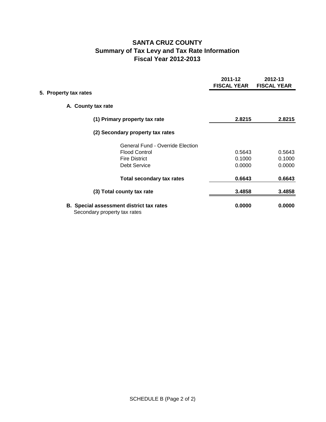## **SANTA CRUZ COUNTY Summary of Tax Levy and Tax Rate Information Fiscal Year 2012-2013**

|                       |                                                                                 | 2011-12<br><b>FISCAL YEAR</b> | 2012-13<br><b>FISCAL YEAR</b> |
|-----------------------|---------------------------------------------------------------------------------|-------------------------------|-------------------------------|
| 5. Property tax rates |                                                                                 |                               |                               |
|                       | A. County tax rate                                                              |                               |                               |
|                       | (1) Primary property tax rate                                                   | 2.8215                        | 2.8215                        |
|                       | (2) Secondary property tax rates                                                |                               |                               |
|                       | <b>General Fund - Override Election</b>                                         |                               |                               |
|                       | <b>Flood Control</b>                                                            | 0.5643                        | 0.5643                        |
|                       | <b>Fire District</b>                                                            | 0.1000                        | 0.1000                        |
|                       | <b>Debt Service</b>                                                             | 0.0000                        | 0.0000                        |
|                       | <b>Total secondary tax rates</b>                                                | 0.6643                        | 0.6643                        |
|                       | (3) Total county tax rate                                                       | 3.4858                        | 3.4858                        |
|                       | <b>B.</b> Special assessment district tax rates<br>Secondary property tax rates | 0.0000                        | 0.0000                        |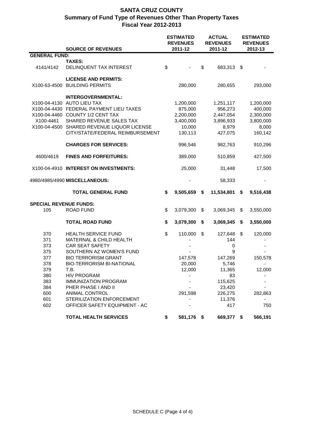|                               | <b>SOURCE OF REVENUES</b>                  |    | <b>ESTIMATED</b><br><b>REVENUES</b> | <b>ACTUAL</b><br><b>REVENUES</b><br>2011-12 |             |    | <b>ESTIMATED</b><br><b>REVENUES</b><br>2012-13 |  |  |
|-------------------------------|--------------------------------------------|----|-------------------------------------|---------------------------------------------|-------------|----|------------------------------------------------|--|--|
| <b>GENERAL FUND:</b>          |                                            |    | 2011-12                             |                                             |             |    |                                                |  |  |
|                               | <b>TAXES:</b>                              |    |                                     |                                             |             |    |                                                |  |  |
| 4141/4142                     | DELINQUENT TAX INTEREST                    | \$ |                                     | \$                                          | 683,313     | \$ |                                                |  |  |
|                               | <b>LICENSE AND PERMITS:</b>                |    |                                     |                                             |             |    |                                                |  |  |
| X100-63-4500                  | <b>BUILDING PERMITS</b>                    |    | 280,000                             |                                             | 280,655     |    | 293,000                                        |  |  |
|                               | <b>INTERGOVERNMENTAL:</b>                  |    |                                     |                                             |             |    |                                                |  |  |
|                               | X100-04-4130 AUTO LIEU TAX                 |    | 1,200,000                           |                                             | 1,251,117   |    | 1,200,000                                      |  |  |
|                               | X100-04-4430 FEDERAL PAYMENT LIEU TAXES    |    | 875,000                             |                                             | 956,273     |    | 400,000                                        |  |  |
|                               | X100-04-4460 COUNTY 1/2 CENT TAX           |    | 2,200,000                           |                                             | 2,447,054   |    | 2,300,000                                      |  |  |
| X100-4461                     | SHARED REVENUE SALES TAX                   |    | 3,400,000                           |                                             | 3,896,933   |    | 3,800,000                                      |  |  |
|                               | X100-04-4500 SHARED REVENUE LIQUOR LICENSE |    | 10,000                              |                                             | 8,979       |    | 8,000                                          |  |  |
|                               | CITY/STATE/FEDERAL REIMBURSEMENT           |    | 130,113                             |                                             | 427,075     |    | 160,142                                        |  |  |
|                               | <b>CHARGES FOR SERVICES:</b>               |    | 996,546                             |                                             | 982,763     |    | 910,296                                        |  |  |
| 4600/4619                     | <b>FINES AND FORFEITURES:</b>              |    | 389,000                             |                                             | 510,859     |    | 427,500                                        |  |  |
|                               | X100-04-4910 INTEREST ON INVESTMENTS:      |    | 25,000                              |                                             | 31,448      |    | 17,500                                         |  |  |
| 4980/4985/4990 MISCELLANEOUS: |                                            |    |                                     |                                             | 58,333      |    |                                                |  |  |
|                               | <b>TOTAL GENERAL FUND</b>                  | \$ | 9,505,659                           | \$                                          | 11,534,801  | \$ | 9,516,438                                      |  |  |
| <b>SPECIAL REVENUE FUNDS:</b> |                                            |    |                                     |                                             |             |    |                                                |  |  |
| 105                           | <b>ROAD FUND</b>                           | \$ | 3,079,300                           | \$                                          | 3,069,345   | \$ | 3,550,000                                      |  |  |
|                               | <b>TOTAL ROAD FUND</b>                     | \$ | 3,079,300                           | \$                                          | 3,069,345   | \$ | 3,550,000                                      |  |  |
| 370                           | <b>HEALTH SERVICE FUND</b>                 | \$ | 110,000                             | \$                                          | 127,648     | \$ | 120,000                                        |  |  |
| 371                           | MATERNAL & CHILD HEALTH                    |    |                                     |                                             | 144         |    |                                                |  |  |
| 373                           | CAR SEAT SAFETY                            |    |                                     |                                             | $\mathbf 0$ |    |                                                |  |  |
| 375                           | SOUTHERN AZ WOMEN'S FUND                   |    |                                     |                                             | 9           |    |                                                |  |  |
| 377                           | <b>BIO TERRORISM GRANT</b>                 |    | 147,578                             |                                             | 147,269     |    | 150,578                                        |  |  |
| 378                           | <b>BIO-TERRORISM BI-NATIONAL</b>           |    | 20,000                              |                                             | 5,746       |    | $\blacksquare$                                 |  |  |
| 379                           | T.B.                                       |    | 12,000                              |                                             | 11,365      |    | 12,000                                         |  |  |
| 380                           | <b>HIV PROGRAM</b>                         |    |                                     |                                             | 83          |    |                                                |  |  |
| 383                           | <b>IMMUNIZATION PROGRAM</b>                |    |                                     |                                             | 115,625     |    |                                                |  |  |
| 384                           | PHER PHASE I AND II                        |    |                                     |                                             | 23,420      |    |                                                |  |  |
| 600                           | ANIMAL CONTROL                             |    | 291,598                             |                                             | 226,275     |    | 282,863                                        |  |  |
| 601                           | STERILIZATION ENFORCEMENT                  |    |                                     |                                             | 11,376      |    |                                                |  |  |
| 602                           | OFFICER SAFETY EQUIPMENT - AC              |    |                                     |                                             | 417         |    | 750                                            |  |  |
|                               | <b>TOTAL HEALTH SERVICES</b>               | \$ | 581,176                             | - \$                                        | 669,377     | \$ | 566,191                                        |  |  |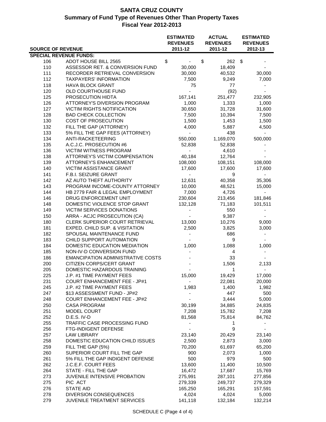|                                      |                                                          | <b>ESTIMATED</b>         | <b>ACTUAL</b>   | <b>ESTIMATED</b> |  |
|--------------------------------------|----------------------------------------------------------|--------------------------|-----------------|------------------|--|
|                                      |                                                          | <b>REVENUES</b>          | <b>REVENUES</b> | <b>REVENUES</b>  |  |
| <b>SOURCE OF REVENUE</b>             |                                                          | 2011-12                  | 2011-12         | 2012-13          |  |
| <b>SPECIAL REVENUE FUNDS:</b><br>106 | ADOT HOUSE BILL 2565                                     | \$                       | \$<br>262       | \$               |  |
| 110                                  | ASSESSOR RET. & CONVERSION FUND                          | 30,000                   | 18,409          |                  |  |
| 111                                  | RECORDER RETRIEVAL CONVERSION                            | 30,000                   | 40,532          | 30,000           |  |
| 112                                  | <b>TAXPAYERS' INFORMATION</b>                            | 7,500                    | 9,249           | 7,000            |  |
| 118                                  | <b>HAVA BLOCK GRANT</b>                                  | 75                       | 77              |                  |  |
| 120                                  | OLD COURTHOUSE FUND                                      |                          | (92)            |                  |  |
| 125                                  | PROSECUTION HIDTA                                        | 167,141                  | 251,477         | 232,905          |  |
| 126                                  | ATTORNEY'S DIVERSION PROGRAM                             | 1,000                    | 1,333           | 1,000            |  |
| 127                                  | <b>VICTIM RIGHTS NOTIFICATION</b>                        | 30,650                   | 31,728          | 31,600           |  |
| 128                                  | <b>BAD CHECK COLLECTION</b>                              | 7,500                    | 10,394          | 7,500            |  |
| 130                                  | COST OF PROSECUTION                                      | 1,500                    | 1,453           | 1,500            |  |
| 132                                  | FILL THE GAP (ATTORNEY)                                  | 4,000                    | 5,887           | 4,500            |  |
| 133                                  | 5% FILL THE GAP FEES (ATTORNEY)                          | $\blacksquare$           | 438             |                  |  |
| 134                                  | ANTI-RACKETEERING                                        | 550,000                  | 1,169,070       | 500,000          |  |
| 135                                  | A.C.J.C. PROSECUTION #6                                  | 52,838                   | 52,838          |                  |  |
| 136                                  | <b>VICTIM WITNESS PROGRAM</b>                            | $\overline{\phantom{a}}$ | 4,610           |                  |  |
| 138                                  | ATTORNEY'S VICTIM COMPENSATION                           | 40,184                   | 12,764          |                  |  |
| 139                                  | ATTORNEY'S ENHANCEMENT                                   | 108,000                  | 108,151         | 108,000          |  |
| 140                                  | <b>VICTIM ASSISTANCE GRANT</b>                           | 17,600                   | 17,600          | 17,600           |  |
| 141                                  | F.B.I. SEIZURE GRANT                                     | $\overline{\phantom{a}}$ | 9               |                  |  |
| 142                                  | AZ AUTO THEFT AUTHORITY                                  | 12,631                   | 40,358          | 35,306           |  |
| 143                                  | PROGRAM INCOME-COUNTY ATTORNEY                           | 10,000                   | 48,521          | 15,000           |  |
| 144                                  | HB 2779 FAIR & LEGAL EMPLOYMENT                          | 7,000                    | 4,726           |                  |  |
| 146                                  | DRUG ENFORCEMENT UNIT                                    | 230,604                  | 213,456         | 181,846          |  |
| 148                                  | DOMESTIC VIOLENCE STOP GRANT                             | 132,128                  | 71,183          | 101,511          |  |
| 149                                  | VICTIM SERVICES DONATIONS                                |                          | 550             |                  |  |
| 150                                  | ARRA - ACJC PROSECUTION (CA)                             |                          | 9,387           |                  |  |
| 180                                  | CLERK SUPERIOR COURT RETRIEVAL                           | 13,000                   | 10,276          | 9,000            |  |
| 181                                  | EXPED. CHILD SUP. & VISITATION                           | 2,500                    | 3,825           | 3,000            |  |
| 182                                  | SPOUSAL MAINTENANCE FUND                                 |                          | 686             |                  |  |
| 183                                  | CHILD SUPPORT AUTOMATION                                 |                          | 9               |                  |  |
| 184                                  | DOMESTIC EDUCATION MEDIATION                             | 1,000                    | 1,088           | 1,000            |  |
| 185                                  | NON-IV-D CONVERSION FUND                                 |                          | $\overline{4}$  |                  |  |
| 186                                  | <b>EMANCIPATION ADMINISTRATIVE COSTS</b>                 |                          | 33              |                  |  |
| 200                                  | CITIZEN CORPS/CERT GRANT                                 |                          | 1,506           | 2,133            |  |
| 205                                  | DOMESTIC HAZARDOUS TRAINING                              |                          | 1               |                  |  |
| 225                                  | J.P. #1 TIME PAYMENT FEES                                | 15,000                   | 19,429          | 17,000           |  |
| 231                                  | <b>COURT ENHANCEMENT FEE - JP#1</b>                      |                          | 22,081          | 20,000           |  |
| 245<br>247                           | J.P. #2 TIME PAYMENT FEES<br>\$13 ASSESSMENT FUND - JP#2 | 1,983                    | 1,400<br>447    | 1,982<br>500     |  |
| 248                                  | <b>COURT ENHANCEMENT FEE - JP#2</b>                      |                          | 3,444           | 5,000            |  |
| 250                                  | <b>CASA PROGRAM</b>                                      | 30,199                   | 34,885          | 24,835           |  |
| 251                                  | MODEL COURT                                              | 7,208                    | 15,782          | 7,208            |  |
| 252                                  | D.E.S. IV-D                                              | 81,568                   | 75,814          | 84,762           |  |
| 255                                  | TRAFFIC CASE PROCESSING FUND                             |                          | 1               |                  |  |
| 256                                  | FTG-INDIGENT DEFENSE                                     |                          | 9               |                  |  |
| 257                                  | <b>LAW LIBRARY</b>                                       | 23,140                   | 20,429          | 23,140           |  |
| 258                                  | DOMESTIC EDUCATION CHILD ISSUES                          | 2,500                    | 2,873           | 3,000            |  |
| 259                                  | FILL THE GAP (5%)                                        | 70,200                   | 61,697          | 65,200           |  |
| 260                                  | SUPERIOR COURT FILL THE GAP                              | 900                      | 2,073           | 1,000            |  |
| 261                                  | 5% FILL THE GAP INDIGENT DEFENSE                         | 500                      | 979             | 500              |  |
| 262                                  | J.C.E.F. COURT FEES                                      | 13,600                   | 11,400          | 10,500           |  |
| 264                                  | STATE - FILL THE GAP                                     | 16,472                   | 17,687          | 15,769           |  |
| 273                                  | JUVENILE INTENSIVE PROBATION                             | 275,991                  | 287,101         | 277,856          |  |
| 275                                  | PIC ACT                                                  | 279,339                  | 249,737         | 279,329          |  |
| 276                                  | <b>STATE AID</b>                                         | 165,250                  | 165,291         | 157,591          |  |
| 278                                  | DIVERSION CONSEQUENCES                                   | 4,024                    | 4,024           | 5,000            |  |
| 279                                  | <b>JUVENILE TREATMENT SERVICES</b>                       | 141,118                  | 132,184         | 132,214          |  |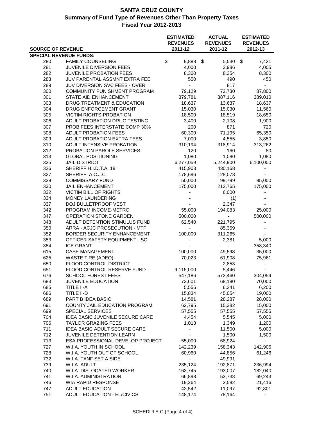|                          |                                                   | <b>ESTIMATED</b>           | <b>ACTUAL</b>              | <b>ESTIMATED</b>           |
|--------------------------|---------------------------------------------------|----------------------------|----------------------------|----------------------------|
| <b>SOURCE OF REVENUE</b> |                                                   | <b>REVENUES</b><br>2011-12 | <b>REVENUES</b><br>2011-12 | <b>REVENUES</b><br>2012-13 |
|                          | <b>SPECIAL REVENUE FUNDS:</b>                     |                            |                            |                            |
| 280                      | <b>FAMILY COUNSELING</b>                          | \$<br>9,888                | \$<br>5,530                | $\sqrt{3}$<br>7,421        |
| 281                      | JUVENILE DIVERSION FEES                           | 4,000                      | 3,986                      | 4,005                      |
| 282                      | <b>JUVENILE PROBATION FEES</b>                    | 8,300                      | 8,354                      | 8,300                      |
| 283                      | JUV PARENTAL ASSMNT EXTRA FEE                     | 550                        | 490                        | 450                        |
| 289                      | JUV DIVERSION SVC FEES - OVER                     | $\blacksquare$             | 817                        |                            |
| 300                      | COMMUNITY PUNISHMENT PROGRAM                      | 79,129                     | 72,730                     | 87,800                     |
| 301                      | STATE AID ENHANCEMENT                             | 379,781                    | 387,116                    | 389,010                    |
| 303                      | DRUG TREATMENT & EDUCATION                        | 18,637                     | 13,637                     | 18,637                     |
| 304                      | DRUG ENFORCEMENT GRANT                            | 15,030                     | 15,030                     | 11,560                     |
| 305                      | <b>VICTIM RIGHTS-PROBATION</b>                    | 18,500                     | 18,519                     | 18,650                     |
| 306                      | ADULT PROBATION DRUG TESTING                      | 3,400                      | 2,108                      | 1,900                      |
| 307                      | PROB FEES INTERSTATE COMP 30%                     | 200                        | 871                        | 720                        |
| 308                      | <b>ADULT PROBATION FEES</b>                       | 60,300                     | 71,195                     | 65,350                     |
| 309                      | ADULT PROBATION EXTRA FEES                        | 7,000                      | 4,555                      | 3,850                      |
| 310                      | ADULT INTENSIVE PROBATION                         | 310,194                    | 318,914                    | 313,262                    |
| 312                      | PROBATION PAROLE SERVICES                         | 120                        | 160                        | 80                         |
| 313                      | <b>GLOBAL POSITIONING</b>                         | 1,080                      | 1,080                      | 1,080                      |
| 325                      | <b>JAIL DISTRICT</b>                              | 6,277,059                  | 5,244,900                  | 6,100,000                  |
| 326                      | SHERIFF H.I.D.T.A. 18                             | 415,903                    | 430,168                    |                            |
| 327                      | SHERIFF A.C.J.C.                                  | 178,696                    | 128,078                    |                            |
| 329                      | <b>COMMISSARY FUND</b>                            | 50,000                     | 99,799                     | 85,000                     |
| 330                      | JAIL ENHANCEMENT                                  | 175,000                    | 212,765                    | 175,000                    |
| 332                      | <b>VICTIM BILL OF RIGHTS</b>                      |                            | 6,000                      |                            |
| 334                      | MONEY LAUNDERING                                  |                            | (1)                        |                            |
| 337                      | DOJ BULLETPROOF VEST                              |                            | 2,347                      |                            |
| 342                      | PROGRAM INCOME-METRO                              | 55,000                     | 194,083                    | 25,000                     |
| 347                      | OPERATION STONE GARDEN                            | 500,000                    | $\blacksquare$             | 500,000                    |
| 348                      | ADULT DETENTION STIMULUS FUND                     | 62,540                     | 221,795                    |                            |
| 350                      | ARRA - ACJC PROSECUTION - MTF                     | $\blacksquare$             | 85,359                     |                            |
| 352                      | BORDER SECURITY ENHANCEMENT                       | 100,000                    | 311,265                    |                            |
| 353<br>354               | OFFICER SAFETY EQUIPMENT - SO<br><b>ICE GRANT</b> |                            | 2,381<br>$\blacksquare$    | 5,000<br>358,340           |
| 615                      | <b>CASE MANAGEMENT</b>                            | 100,000                    | 49,593                     | 35,000                     |
| 625                      | <b>WASTE TIRE (ADEQ)</b>                          | 70,023                     | 61,908                     | 75,961                     |
| 650                      | FLOOD CONTROL DISTRICT                            |                            | 2,853                      |                            |
| 651                      | FLOOD CONTROL RESERVE FUND                        | 9,115,000                  | 5,446                      |                            |
| 676                      | <b>SCHOOL FOREST FEES</b>                         | 547,186                    | 572,460                    | 304,054                    |
| 683                      | <b>JUVENILE EDUCATION</b>                         | 73,601                     | 68,180                     | 70,000                     |
| 685                      | TITLE II-A                                        | 5,556                      | 6,241                      | 6,200                      |
| 686                      | TITLE II-D                                        | 15,834                     | 45,054                     | 19,000                     |
| 689                      | PART B IDEA BASIC                                 | 14,581                     | 28,287                     | 28,000                     |
| 691                      | COUNTY JAIL EDUCATION PROGRAM                     | 62,795                     | 15,382                     | 15,000                     |
| 699                      | <b>SPECIAL SERVICES</b>                           | 57,555                     | 57,555                     | 57,555                     |
| 704                      | <b>IDEA BASIC JUVENILE SECURE CARE</b>            | 4,454                      | 5,545                      | 5,000                      |
| 706                      | <b>TAYLOR GRAZING FEES</b>                        | 1,013                      | 1,349                      | 1,200                      |
| 711                      | IDEA BASIC ADULT SECURE CARE                      |                            | 11,500                     | 5,000                      |
| 712                      | JUVENILE DETENTION LEARN                          |                            | 1,500                      | 1,500                      |
| 713                      | ESA PROFESSIONAL DEVELOP PROJECT                  | 55,000                     | 68,924                     |                            |
| 727                      | W.I.A. YOUTH IN SCHOOL                            | 142,239                    | 158,343                    | 142,906                    |
| 728                      | W.I.A. YOUTH OUT OF SCHOOL                        | 60,960                     | 44,856                     | 61,246                     |
| 732                      | W.I.A. TANF SET A SIDE                            | $\overline{\phantom{0}}$   | 49,991                     |                            |
| 739                      | W.I.A. ADULT                                      | 235,124                    | 192,871                    | 236,994                    |
| 740                      | W.I.A. DISLOCATED WORKER                          | 163,745                    | 193,007                    | 182,040                    |
| 741                      | W.I.A. ADMINISTRATION                             | 66,898                     | 53,738                     | 69,243                     |
| 746                      | WIA RAPID RESPONSE                                | 19,264                     | 2,582                      | 21,416                     |
| 747                      | <b>ADULT EDUCATION</b>                            | 42,542                     | 11,097                     | 92,801                     |
| 751                      | ADULT EDUCATION - EL/CIVICS                       | 148,174                    | 78,164                     |                            |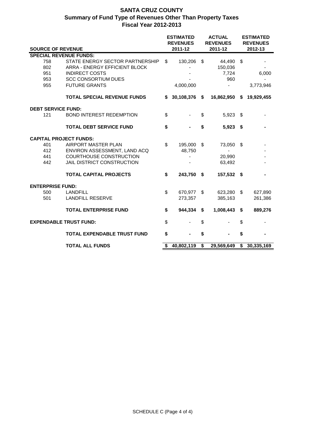|  |                           |                                    |    | <b>ESTIMATED</b><br><b>REVENUES</b> |      | <b>ACTUAL</b><br><b>REVENUES</b> | <b>ESTIMATED</b><br><b>REVENUES</b> |            |  |
|--|---------------------------|------------------------------------|----|-------------------------------------|------|----------------------------------|-------------------------------------|------------|--|
|  |                           | <b>SOURCE OF REVENUE</b>           |    | 2011-12                             |      | 2011-12                          |                                     | 2012-13    |  |
|  |                           | <b>SPECIAL REVENUE FUNDS:</b>      |    |                                     |      |                                  |                                     |            |  |
|  | 758                       | STATE ENERGY SECTOR PARTNERSHIP    | \$ | 130,206                             | \$   | 44,490                           | - \$                                |            |  |
|  | 802                       | ARRA - ENERGY EFFICIENT BLOCK      |    |                                     |      | 150,036                          |                                     |            |  |
|  | 951                       | <b>INDIRECT COSTS</b>              |    |                                     |      | 7,724                            |                                     | 6,000      |  |
|  | 953                       | <b>SCC CONSORTIUM DUES</b>         |    |                                     |      | 960                              |                                     |            |  |
|  | 955                       | <b>FUTURE GRANTS</b>               |    | 4,000,000                           |      |                                  |                                     | 3,773,946  |  |
|  |                           | <b>TOTAL SPECIAL REVENUE FUNDS</b> | \$ | 30,108,376                          | - \$ | 16,862,950 \$                    |                                     | 19,929,455 |  |
|  | <b>DEBT SERVICE FUND:</b> |                                    |    |                                     |      |                                  |                                     |            |  |
|  | 121                       | <b>BOND INTEREST REDEMPTION</b>    | \$ |                                     | \$   | 5,923 \$                         |                                     |            |  |
|  |                           | <b>TOTAL DEBT SERVICE FUND</b>     | \$ |                                     | \$   | $5,923$ \$                       |                                     |            |  |
|  |                           | <b>CAPITAL PROJECT FUNDS:</b>      |    |                                     |      |                                  |                                     |            |  |
|  | 401                       | AIRPORT MASTER PLAN                | \$ | 195,000                             | \$   | 73,050                           | \$                                  |            |  |
|  | 412                       | ENVIRON ASSESSMENT, LAND ACQ       |    | 48,750                              |      |                                  |                                     |            |  |
|  | 441                       | COURTHOUSE CONSTRUCTION            |    |                                     |      | 20,990                           |                                     |            |  |
|  | 442                       | JAIL DISTRICT CONSTRUCTION         |    |                                     |      | 63,492                           |                                     |            |  |
|  |                           | <b>TOTAL CAPITAL PROJECTS</b>      | \$ | 243,750                             | \$   | 157,532 \$                       |                                     |            |  |
|  | <b>ENTERPRISE FUND:</b>   |                                    |    |                                     |      |                                  |                                     |            |  |
|  | 500                       | <b>LANDFILL</b>                    | \$ | 670,977                             | \$   | 623,280 \$                       |                                     | 627,890    |  |
|  | 501                       | <b>LANDFILL RESERVE</b>            |    | 273,357                             |      | 385,163                          |                                     | 261,386    |  |
|  |                           | <b>TOTAL ENTERPRISE FUND</b>       | \$ | 944,334                             | \$   | 1,008,443                        | \$                                  | 889,276    |  |
|  |                           | <b>EXPENDABLE TRUST FUND:</b>      | \$ |                                     | \$   |                                  | \$                                  |            |  |
|  |                           | TOTAL EXPENDABLE TRUST FUND        | \$ |                                     | \$   |                                  | \$                                  |            |  |
|  |                           | <b>TOTAL ALL FUNDS</b>             |    | 40,802,119                          | \$   | 29,569,649                       | \$                                  | 30,335,169 |  |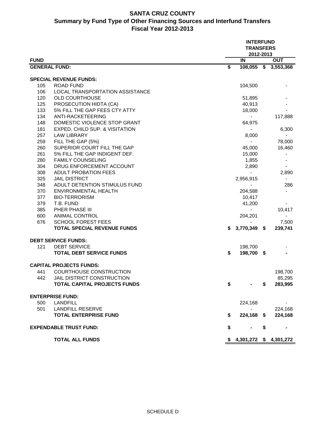## **SANTA CRUZ COUNTY Summary by Fund Type of Other Financing Sources and Interfund Transfers Fiscal Year 2012-2013**

|                      |                                     |                                      | <b>INTERFUND</b><br><b>TRANSFERS</b><br>2012-2013 |    |            |
|----------------------|-------------------------------------|--------------------------------------|---------------------------------------------------|----|------------|
| <b>FUND</b>          |                                     |                                      | IN                                                |    | <b>OUT</b> |
| <b>GENERAL FUND:</b> |                                     | $\overline{\boldsymbol{\mathsf{s}}}$ | $108,055$ \$                                      |    | 3,553,368  |
|                      | <b>SPECIAL REVENUE FUNDS:</b>       |                                      |                                                   |    |            |
| 105                  | <b>ROAD FUND</b>                    |                                      | 104,500                                           |    |            |
| 106                  | LOCAL TRANSPORTATION ASSISTANCE     |                                      |                                                   |    |            |
| 120                  | <b>OLD COURTHOUSE</b>               |                                      | 51,895                                            |    |            |
| 125                  | PROSECUTION HIDTA (CA)              |                                      | 40,913                                            |    |            |
| 133                  | 5% FILL THE GAP FEES CTY ATTY       |                                      | 18,000                                            |    |            |
| 134                  | ANTI-RACKETEERING                   |                                      |                                                   |    | 117,888    |
| 148                  | DOMESTIC VIOLENCE STOP GRANT        |                                      | 64,975                                            |    |            |
| 181                  | EXPED. CHILD SUP. & VISITATION      |                                      | $\blacksquare$                                    |    | 6,300      |
| 257                  | <b>LAW LIBRARY</b>                  |                                      | 8,000                                             |    |            |
| 259                  | FILL THE GAP (5%)                   |                                      |                                                   |    | 78,000     |
| 260                  | SUPERIOR COURT FILL THE GAP         |                                      | 45,000                                            |    | 16,460     |
| 261                  | 5% FILL THE GAP INDIGENT DEF.       |                                      | 15,000                                            |    |            |
| 280                  | <b>FAMILY COUNSELING</b>            |                                      | 1,855                                             |    |            |
| 304                  | DRUG ENFORCEMENT ACCOUNT            |                                      | 2,890                                             |    |            |
| 308                  | <b>ADULT PROBATION FEES</b>         |                                      |                                                   |    | 2,890      |
| 325                  | <b>JAIL DISTRICT</b>                |                                      | 2,956,915                                         |    |            |
| 348                  | ADULT DETENTION STIMULUS FUND       |                                      |                                                   |    | 286        |
| 370                  | <b>ENVIRONMENTAL HEALTH</b>         |                                      | 204,588                                           |    |            |
| 377                  | <b>BIO-TERRORISM</b>                |                                      | 10,417                                            |    |            |
| 379                  | T.B. FUND                           |                                      | 41,200                                            |    |            |
| 385                  | <b>PHER PHASE III</b>               |                                      |                                                   |    | 10,417     |
| 600                  | <b>ANIMAL CONTROL</b>               |                                      | 204,201                                           |    |            |
| 676                  | <b>SCHOOL FOREST FEES</b>           |                                      |                                                   |    | 7,500      |
|                      | <b>TOTAL SPECIAL REVENUE FUNDS</b>  | S.                                   | 3,770,349 \$                                      |    | 239,741    |
|                      | <b>DEBT SERVICE FUNDS:</b>          |                                      |                                                   |    |            |
| 121                  | <b>DEBT SERVICE</b>                 |                                      | 198,700                                           |    |            |
|                      | <b>TOTAL DEBT SERVICE FUNDS</b>     | \$                                   | 198,700 \$                                        |    |            |
|                      | <b>CAPITAL PROJECTS FUNDS:</b>      |                                      |                                                   |    |            |
| 441                  | <b>COURTHOUSE CONSTRUCTION</b>      |                                      |                                                   |    | 198,700    |
| 442                  | JAIL DISTRICT CONSTRUCTION          |                                      |                                                   |    | 85,295     |
|                      | <b>TOTAL CAPITAL PROJECTS FUNDS</b> | \$                                   |                                                   | S  | 283,995    |
|                      | <b>ENTERPRISE FUND:</b>             |                                      |                                                   |    |            |
| 500                  | <b>LANDFILL</b>                     |                                      | 224,168                                           |    |            |
| 501                  | <b>LANDFILL RESERVE</b>             |                                      |                                                   |    | 224,168    |
|                      | <b>TOTAL ENTERPRISE FUND</b>        | \$                                   | 224,168 \$                                        |    | 224,168    |
|                      | <b>EXPENDABLE TRUST FUND:</b>       | \$                                   |                                                   | \$ |            |
|                      | <b>TOTAL ALL FUNDS</b>              |                                      | $$4,301,272$ $$4,301,272$                         |    |            |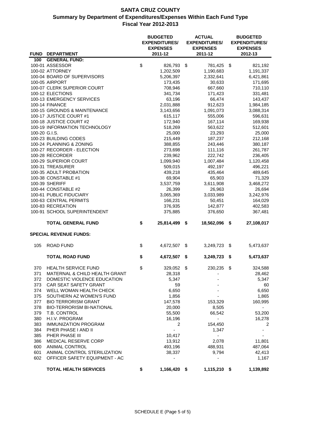|               |                                                    | <b>BUDGETED</b><br><b>EXPENDITURES/</b><br><b>EXPENSES</b> | <b>ACTUAL</b><br><b>EXPENDITURES/</b><br><b>EXPENSES</b> | <b>BUDGETED</b><br><b>EXPENDITURES/</b><br><b>EXPENSES</b> |
|---------------|----------------------------------------------------|------------------------------------------------------------|----------------------------------------------------------|------------------------------------------------------------|
| <b>FUND</b>   | <b>DEPARTMENT</b>                                  | 2011-12                                                    | 2011-12                                                  | 2012-13                                                    |
| 100           | <b>GENERAL FUND:</b>                               |                                                            |                                                          |                                                            |
|               | 100-01 ASSESSOR                                    | \$<br>826,793                                              | \$<br>781,425                                            | \$<br>821,192                                              |
|               | 100-02 ATTORNEY                                    | 1,202,509                                                  | 1,190,683                                                | 1,191,337                                                  |
|               | 100-04 BOARD OF SUPERVISORS                        | 5,206,397                                                  | 2,332,641                                                | 6,421,861                                                  |
|               | 100-05 AIRPORT<br>100-07 CLERK SUPERIOR COURT      | 173,435                                                    | 30,633                                                   | 171,695                                                    |
|               |                                                    | 708,946                                                    | 667,660                                                  | 710,110                                                    |
|               | 100-12 ELECTIONS<br>100-13 EMERGENCY SERVICES      | 341,734                                                    | 171,423<br>66,474                                        | 331,481                                                    |
|               | <b>100-14 FINANCE</b>                              | 63,196                                                     |                                                          | 143,437                                                    |
|               | 100-15 GROUNDS & MAINTENANCE                       | 2,031,888                                                  | 912,623                                                  | 1,984,185                                                  |
|               |                                                    | 3,143,656                                                  | 1,091,073                                                | 3,088,314                                                  |
|               | 100-17 JUSTICE COURT #1<br>100-18 JUSTICE COURT #2 | 615,117                                                    | 555,006                                                  | 596,631                                                    |
|               | 100-19 INFORMATION TECHNOLOGY                      | 172,940                                                    | 167,114                                                  | 169,938                                                    |
| 100-20 G.I.S. |                                                    | 518,269<br>25,000                                          | 563,622<br>23,293                                        | 512,601<br>25,000                                          |
|               | 100-23 BUILDING CODES                              |                                                            |                                                          |                                                            |
|               | 100-24 PLANNING & ZONING                           | 215,449<br>388,855                                         | 187,237                                                  | 212,168<br>380,187                                         |
|               | 100-27 RECORDER - ELECTION                         |                                                            | 243,446                                                  |                                                            |
|               | 100-28 RECORDER                                    | 273,698                                                    | 111,116<br>222,742                                       | 261,787                                                    |
|               | 100-29 SUPERIOR COURT                              | 239,962                                                    |                                                          | 236,405                                                    |
|               | 100-31 TREASURER                                   | 1,099,940<br>509,015                                       | 1,007,484<br>492,197                                     | 1,120,458<br>496,221                                       |
|               | 100-35 ADULT PROBATION                             |                                                            | 435,464                                                  |                                                            |
|               | 100-38 CONSTABLE #1                                | 439,218                                                    |                                                          | 489,645                                                    |
|               | 100-39 SHERIFF                                     | 69,904                                                     | 65,903                                                   | 71,329                                                     |
|               | 100-44 CONSTABLE #2                                | 3,537,759                                                  | 3,611,908                                                | 3,468,272                                                  |
|               | 100-61 PUBLIC FIDUCIARY                            | 26,399<br>3,065,369                                        | 26,963<br>3,033,989                                      | 26,694<br>3,242,976                                        |
|               | 100-63 CENTRAL PERMITS                             |                                                            |                                                          |                                                            |
|               | 100-83 RECREATION                                  | 166,231                                                    | 50,451                                                   | 164,029                                                    |
|               |                                                    | 376,935                                                    | 142,877                                                  | 402,583                                                    |
|               | 100-91 SCHOOL SUPERINTENDENT                       | 375,885                                                    | 376,650                                                  | 367,481                                                    |
|               | <b>TOTAL GENERAL FUND</b>                          | \$<br>25,814,499                                           | \$<br>18,562,096                                         | \$<br>27,108,017                                           |
|               | <b>SPECIAL REVENUE FUNDS:</b>                      |                                                            |                                                          |                                                            |
| 105           | <b>ROAD FUND</b>                                   | \$<br>4,672,507                                            | \$<br>3,249,723                                          | \$<br>5,473,637                                            |
|               | <b>TOTAL ROAD FUND</b>                             | \$<br>4,672,507                                            | \$<br>3,249,723                                          | \$<br>5,473,637                                            |
| 370           | <b>HEALTH SERVICE FUND</b>                         | \$<br>329,052                                              | \$<br>230,235                                            | \$<br>324,588                                              |
| 371           | MATERNAL & CHILD HEALTH GRANT                      | 28,318                                                     |                                                          | 28,462                                                     |
| 372           | DOMESTIC VIOLENCE EDUCATION                        | 5,347                                                      |                                                          | 5,347                                                      |
| 373           | CAR SEAT SAFETY GRANT                              | 59                                                         |                                                          | 60                                                         |
| 374           | WELL WOMAN HEALTH CHECK                            | 6,650                                                      |                                                          | 6,650                                                      |
| 375           | SOUTHERN AZ WOMEN'S FUND                           | 1,856                                                      |                                                          | 1,865                                                      |
| 377           | <b>BIO TERRORISM GRANT</b>                         | 147,578                                                    | 153,329                                                  | 160,995                                                    |
| 378           | <b>BIO-TERRORISM BI-NATIONAL</b>                   | 20,000                                                     | 8,505                                                    | ٠                                                          |
| 379           | T.B. CONTROL                                       | 55,500                                                     | 66,542                                                   | 53,200                                                     |
| 380           | H.I.V. PROGRAM                                     | 16,196                                                     |                                                          | 16,278                                                     |
| 383           | <b>IMMUNIZATION PROGRAM</b>                        | 2                                                          | 154,450                                                  | 2                                                          |
| 384           | PHER PHASE I AND II                                | $\overline{\phantom{a}}$                                   | 1,347                                                    |                                                            |
| 385           | PHER PHASE III                                     | 10,417                                                     |                                                          |                                                            |
| 386           | MEDICAL RESERVE CORP                               | 13,912                                                     | 2,078                                                    | 11,801                                                     |
| 600           | ANIMAL CONTROL                                     | 493,196                                                    | 488,931                                                  | 487,064                                                    |
| 601           | ANIMAL CONTROL STERILIZATION                       | 38,337                                                     | 9,794                                                    | 42,413                                                     |
| 602           | OFFICER SAFETY EQUIPMENT - AC                      |                                                            |                                                          | 1,167                                                      |
|               | <b>TOTAL HEALTH SERVICES</b>                       | \$<br>1,166,420 \$                                         | 1,115,210 \$                                             | 1,139,892                                                  |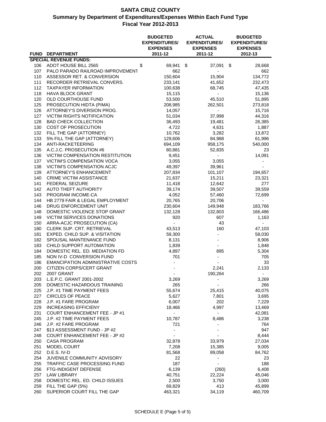| <b>SPECIAL REVENUE FUNDS:</b><br>\$<br>ADOT HOUSE BILL 2565<br>69,941<br>\$<br>37,091<br>\$<br>106<br>28,668<br>662<br>107<br>PALO PARADO RAILROAD IMPROVEMENT<br>662<br>$\overline{\phantom{0}}$<br>150,604<br>110<br>ASSESSOR RET. & CONVERSION<br>15,904<br>134,772<br>111<br>233,141<br>232,473<br>RECORDER RETRIEVAL CONVERS.<br>41,652<br>112<br>100,638<br>68,745<br>47,435<br><b>TAXPAYER INFORMATION</b><br>118<br><b>HAVA BLOCK GRANT</b><br>15,136<br>15,115<br>$\overline{\phantom{a}}$<br>120<br>OLD COURTHOUSE FUND<br>53,500<br>45,510<br>51,895<br>125<br>PROSECUTION HIDTA (PIMA)<br>208,985<br>262,501<br>273,818<br>126<br>ATTORNEY'S DIVERSION PROG.<br>14,057<br>15,716<br>÷.<br>127<br>VICTIM RIGHTS NOTIFICATION<br>37,998<br>44,316<br>51,034<br>128<br><b>BAD CHECK COLLECTION</b><br>36,493<br>26,385<br>19,481<br>130<br>COST OF PROSECUTION<br>4,722<br>4,631<br>1,887<br>10,762<br>132<br>FILL THE GAP (ATTORNEY)<br>3,282<br>13,872<br>5% FILL THE GAP (ATTORNEY)<br>133<br>129,606<br>61,996<br>84,988<br>134<br>ANTI-RACKETEERING<br>694,109<br>540,000<br>958,175<br>135<br>A.C.J.C. PROSECUTION #6<br>80,881<br>23<br>52,835<br>14,091<br>136<br><b>VICTIM COMPENSATION RESTITUTION</b><br>9,451<br>$\frac{1}{2}$<br><b>VICTIM'S COMPENSATION VOCA</b><br>3,055<br>3,055<br>137<br>138<br>49,397<br>VICTIM'S COMPENSATION ACJC<br>39,961<br>139<br>ATTORNEY'S ENHANCEMENT<br>207,834<br>101,107<br>194,657<br>140<br><b>CRIME VICTIM ASSISTANCE</b><br>21,637<br>15,211<br>23,321<br>141<br><b>FEDERAL SEIZURE</b><br>11,418<br>12,642<br>277<br>142<br>AUTO THEFT AUTHORITY<br>39,174<br>39,507<br>39,559<br>143<br>PROGRAM INCOME-CA<br>4,052<br>57,460<br>72,699<br>20,765<br>144<br>HB 2779 FAIR & LEGAL EMPLOYMENT<br>20,706<br>146<br>DRUG ENFORCEMENT UNIT<br>230,604<br>149,948<br>183,766<br>148<br>DOMESTIC VIOLENCE STOP GRANT<br>132,128<br>166,486<br>132,803<br>149<br>VICTIM SERVICES DONATIONS<br>920<br>607<br>1,163<br>43<br>150<br>ARRA-ACJC PROSECUTION (CA)<br>$\overline{\phantom{0}}$<br>180<br>CLERK SUP. CRT. RETRIEVAL<br>43,513<br>160<br>47,103<br>181<br>EXPED. CHILD SUP. & VISITATION<br>59,300<br>58,030<br>$\overline{\phantom{0}}$<br>182<br>SPOUSAL MAINTENANCE FUND<br>8,131<br>8,906<br>183<br>CHILD SUPPORT AUTOMATION<br>1,839<br>$\overline{a}$<br>1,848<br>184<br>DOMESTIC REL. ED. MEDIATION FD<br>4,897<br>895<br>5,304<br>NON IV-D CONVERSION FUND<br>701<br>185<br>705<br>$\overline{a}$<br>186<br><b>EMANCIPATION ADMINISTRATIVE COSTS</b><br>33<br>200<br>CITIZEN CORPS/CERT GRANT<br>2,241<br>2,133<br><b>2007 GRANT</b><br>190,264<br>202<br>$\sim$<br>$\sim$<br>203<br>L.E.P.C. GRANT 2001-2002<br>3,269<br>3,269<br>205<br>265<br>DOMESTIC HAZARDOUS TRAINING<br>266<br>225<br>J.P. #1 TIME PAYMENT FEES<br>55,674<br>40,075<br>25,415<br>227<br><b>CIRCLES OF PEACE</b><br>5,627<br>7,801<br>3,695<br>228<br>J.P. #1 FARE PROGRAM<br>6,007<br>202<br>7,229<br>229<br><b>INCREASING EFFICIENY</b><br>18,466<br>4,997<br>13,469<br>231<br>42,081<br><b>COURT ENHANCEMENT FEE - JP #1</b><br>$\overline{\phantom{a}}$<br>$\overline{\phantom{0}}$<br>245<br>J.P. #2 TIME PAYMENT FEES<br>10,787<br>8,486<br>3,238<br>246<br>J.P. #2 FARE PROGRAM<br>721<br>764<br>$\overline{\phantom{a}}$<br>\$13 ASSESSMENT FUND - JP #2<br>247<br>947<br>248<br><b>COURT ENHANCEMENT FEE - JP #2</b><br>8,444<br>250<br><b>CASA PROGRAM</b><br>32,878<br>33,979<br>27,034<br>251<br>9,005<br>MODEL COURT<br>7,208<br>15,385<br>252<br>D.E.S. IV-D<br>81,568<br>89,058<br>84,762<br>254<br>22<br>JUVENILE COMMUNITY ADVISORY<br>23<br>187<br>255<br>TRAFFIC CASE PROCESSING FUND<br>188<br>256<br>FTG-INDIGENT DEFENSE<br>6,139<br>6,408<br>(260)<br>257<br><b>LAW LIBRARY</b><br>40,751<br>22,224<br>45,046<br>258<br>DOMESTIC REL. ED. CHILD ISSUES<br>2,500<br>3,000<br>3,750<br>259<br>FILL THE GAP (5%)<br>69,829<br>413<br>45,899<br>260<br>SUPERIOR COURT FILL THE GAP<br>463,321<br>34,119<br>460,709 |             |                   | <b>BUDGETED</b><br><b>EXPENDITURES/</b><br><b>EXPENSES</b> | <b>ACTUAL</b><br><b>EXPENDITURES/</b><br><b>EXPENSES</b> |         |  | <b>BUDGETED</b><br><b>EXPENDITURES/</b><br><b>EXPENSES</b> |  |  |
|------------------------------------------------------------------------------------------------------------------------------------------------------------------------------------------------------------------------------------------------------------------------------------------------------------------------------------------------------------------------------------------------------------------------------------------------------------------------------------------------------------------------------------------------------------------------------------------------------------------------------------------------------------------------------------------------------------------------------------------------------------------------------------------------------------------------------------------------------------------------------------------------------------------------------------------------------------------------------------------------------------------------------------------------------------------------------------------------------------------------------------------------------------------------------------------------------------------------------------------------------------------------------------------------------------------------------------------------------------------------------------------------------------------------------------------------------------------------------------------------------------------------------------------------------------------------------------------------------------------------------------------------------------------------------------------------------------------------------------------------------------------------------------------------------------------------------------------------------------------------------------------------------------------------------------------------------------------------------------------------------------------------------------------------------------------------------------------------------------------------------------------------------------------------------------------------------------------------------------------------------------------------------------------------------------------------------------------------------------------------------------------------------------------------------------------------------------------------------------------------------------------------------------------------------------------------------------------------------------------------------------------------------------------------------------------------------------------------------------------------------------------------------------------------------------------------------------------------------------------------------------------------------------------------------------------------------------------------------------------------------------------------------------------------------------------------------------------------------------------------------------------------------------------------------------------------------------------------------------------------------------------------------------------------------------------------------------------------------------------------------------------------------------------------------------------------------------------------------------------------------------------------------------------------------------------------------------------------------------------------------------------------------------------------------------------------------------------------------------------------------------------------------------------------------------------------------------------------------------------------------------------------------------------------------------------------------------------------------------|-------------|-------------------|------------------------------------------------------------|----------------------------------------------------------|---------|--|------------------------------------------------------------|--|--|
|                                                                                                                                                                                                                                                                                                                                                                                                                                                                                                                                                                                                                                                                                                                                                                                                                                                                                                                                                                                                                                                                                                                                                                                                                                                                                                                                                                                                                                                                                                                                                                                                                                                                                                                                                                                                                                                                                                                                                                                                                                                                                                                                                                                                                                                                                                                                                                                                                                                                                                                                                                                                                                                                                                                                                                                                                                                                                                                                                                                                                                                                                                                                                                                                                                                                                                                                                                                                                                                                                                                                                                                                                                                                                                                                                                                                                                                                                                                                                                                    | <b>FUND</b> | <b>DEPARTMENT</b> | 2011-12                                                    |                                                          | 2011-12 |  | 2012-13                                                    |  |  |
|                                                                                                                                                                                                                                                                                                                                                                                                                                                                                                                                                                                                                                                                                                                                                                                                                                                                                                                                                                                                                                                                                                                                                                                                                                                                                                                                                                                                                                                                                                                                                                                                                                                                                                                                                                                                                                                                                                                                                                                                                                                                                                                                                                                                                                                                                                                                                                                                                                                                                                                                                                                                                                                                                                                                                                                                                                                                                                                                                                                                                                                                                                                                                                                                                                                                                                                                                                                                                                                                                                                                                                                                                                                                                                                                                                                                                                                                                                                                                                                    |             |                   |                                                            |                                                          |         |  |                                                            |  |  |
|                                                                                                                                                                                                                                                                                                                                                                                                                                                                                                                                                                                                                                                                                                                                                                                                                                                                                                                                                                                                                                                                                                                                                                                                                                                                                                                                                                                                                                                                                                                                                                                                                                                                                                                                                                                                                                                                                                                                                                                                                                                                                                                                                                                                                                                                                                                                                                                                                                                                                                                                                                                                                                                                                                                                                                                                                                                                                                                                                                                                                                                                                                                                                                                                                                                                                                                                                                                                                                                                                                                                                                                                                                                                                                                                                                                                                                                                                                                                                                                    |             |                   |                                                            |                                                          |         |  |                                                            |  |  |
|                                                                                                                                                                                                                                                                                                                                                                                                                                                                                                                                                                                                                                                                                                                                                                                                                                                                                                                                                                                                                                                                                                                                                                                                                                                                                                                                                                                                                                                                                                                                                                                                                                                                                                                                                                                                                                                                                                                                                                                                                                                                                                                                                                                                                                                                                                                                                                                                                                                                                                                                                                                                                                                                                                                                                                                                                                                                                                                                                                                                                                                                                                                                                                                                                                                                                                                                                                                                                                                                                                                                                                                                                                                                                                                                                                                                                                                                                                                                                                                    |             |                   |                                                            |                                                          |         |  |                                                            |  |  |
|                                                                                                                                                                                                                                                                                                                                                                                                                                                                                                                                                                                                                                                                                                                                                                                                                                                                                                                                                                                                                                                                                                                                                                                                                                                                                                                                                                                                                                                                                                                                                                                                                                                                                                                                                                                                                                                                                                                                                                                                                                                                                                                                                                                                                                                                                                                                                                                                                                                                                                                                                                                                                                                                                                                                                                                                                                                                                                                                                                                                                                                                                                                                                                                                                                                                                                                                                                                                                                                                                                                                                                                                                                                                                                                                                                                                                                                                                                                                                                                    |             |                   |                                                            |                                                          |         |  |                                                            |  |  |
|                                                                                                                                                                                                                                                                                                                                                                                                                                                                                                                                                                                                                                                                                                                                                                                                                                                                                                                                                                                                                                                                                                                                                                                                                                                                                                                                                                                                                                                                                                                                                                                                                                                                                                                                                                                                                                                                                                                                                                                                                                                                                                                                                                                                                                                                                                                                                                                                                                                                                                                                                                                                                                                                                                                                                                                                                                                                                                                                                                                                                                                                                                                                                                                                                                                                                                                                                                                                                                                                                                                                                                                                                                                                                                                                                                                                                                                                                                                                                                                    |             |                   |                                                            |                                                          |         |  |                                                            |  |  |
|                                                                                                                                                                                                                                                                                                                                                                                                                                                                                                                                                                                                                                                                                                                                                                                                                                                                                                                                                                                                                                                                                                                                                                                                                                                                                                                                                                                                                                                                                                                                                                                                                                                                                                                                                                                                                                                                                                                                                                                                                                                                                                                                                                                                                                                                                                                                                                                                                                                                                                                                                                                                                                                                                                                                                                                                                                                                                                                                                                                                                                                                                                                                                                                                                                                                                                                                                                                                                                                                                                                                                                                                                                                                                                                                                                                                                                                                                                                                                                                    |             |                   |                                                            |                                                          |         |  |                                                            |  |  |
|                                                                                                                                                                                                                                                                                                                                                                                                                                                                                                                                                                                                                                                                                                                                                                                                                                                                                                                                                                                                                                                                                                                                                                                                                                                                                                                                                                                                                                                                                                                                                                                                                                                                                                                                                                                                                                                                                                                                                                                                                                                                                                                                                                                                                                                                                                                                                                                                                                                                                                                                                                                                                                                                                                                                                                                                                                                                                                                                                                                                                                                                                                                                                                                                                                                                                                                                                                                                                                                                                                                                                                                                                                                                                                                                                                                                                                                                                                                                                                                    |             |                   |                                                            |                                                          |         |  |                                                            |  |  |
|                                                                                                                                                                                                                                                                                                                                                                                                                                                                                                                                                                                                                                                                                                                                                                                                                                                                                                                                                                                                                                                                                                                                                                                                                                                                                                                                                                                                                                                                                                                                                                                                                                                                                                                                                                                                                                                                                                                                                                                                                                                                                                                                                                                                                                                                                                                                                                                                                                                                                                                                                                                                                                                                                                                                                                                                                                                                                                                                                                                                                                                                                                                                                                                                                                                                                                                                                                                                                                                                                                                                                                                                                                                                                                                                                                                                                                                                                                                                                                                    |             |                   |                                                            |                                                          |         |  |                                                            |  |  |
|                                                                                                                                                                                                                                                                                                                                                                                                                                                                                                                                                                                                                                                                                                                                                                                                                                                                                                                                                                                                                                                                                                                                                                                                                                                                                                                                                                                                                                                                                                                                                                                                                                                                                                                                                                                                                                                                                                                                                                                                                                                                                                                                                                                                                                                                                                                                                                                                                                                                                                                                                                                                                                                                                                                                                                                                                                                                                                                                                                                                                                                                                                                                                                                                                                                                                                                                                                                                                                                                                                                                                                                                                                                                                                                                                                                                                                                                                                                                                                                    |             |                   |                                                            |                                                          |         |  |                                                            |  |  |
|                                                                                                                                                                                                                                                                                                                                                                                                                                                                                                                                                                                                                                                                                                                                                                                                                                                                                                                                                                                                                                                                                                                                                                                                                                                                                                                                                                                                                                                                                                                                                                                                                                                                                                                                                                                                                                                                                                                                                                                                                                                                                                                                                                                                                                                                                                                                                                                                                                                                                                                                                                                                                                                                                                                                                                                                                                                                                                                                                                                                                                                                                                                                                                                                                                                                                                                                                                                                                                                                                                                                                                                                                                                                                                                                                                                                                                                                                                                                                                                    |             |                   |                                                            |                                                          |         |  |                                                            |  |  |
|                                                                                                                                                                                                                                                                                                                                                                                                                                                                                                                                                                                                                                                                                                                                                                                                                                                                                                                                                                                                                                                                                                                                                                                                                                                                                                                                                                                                                                                                                                                                                                                                                                                                                                                                                                                                                                                                                                                                                                                                                                                                                                                                                                                                                                                                                                                                                                                                                                                                                                                                                                                                                                                                                                                                                                                                                                                                                                                                                                                                                                                                                                                                                                                                                                                                                                                                                                                                                                                                                                                                                                                                                                                                                                                                                                                                                                                                                                                                                                                    |             |                   |                                                            |                                                          |         |  |                                                            |  |  |
|                                                                                                                                                                                                                                                                                                                                                                                                                                                                                                                                                                                                                                                                                                                                                                                                                                                                                                                                                                                                                                                                                                                                                                                                                                                                                                                                                                                                                                                                                                                                                                                                                                                                                                                                                                                                                                                                                                                                                                                                                                                                                                                                                                                                                                                                                                                                                                                                                                                                                                                                                                                                                                                                                                                                                                                                                                                                                                                                                                                                                                                                                                                                                                                                                                                                                                                                                                                                                                                                                                                                                                                                                                                                                                                                                                                                                                                                                                                                                                                    |             |                   |                                                            |                                                          |         |  |                                                            |  |  |
|                                                                                                                                                                                                                                                                                                                                                                                                                                                                                                                                                                                                                                                                                                                                                                                                                                                                                                                                                                                                                                                                                                                                                                                                                                                                                                                                                                                                                                                                                                                                                                                                                                                                                                                                                                                                                                                                                                                                                                                                                                                                                                                                                                                                                                                                                                                                                                                                                                                                                                                                                                                                                                                                                                                                                                                                                                                                                                                                                                                                                                                                                                                                                                                                                                                                                                                                                                                                                                                                                                                                                                                                                                                                                                                                                                                                                                                                                                                                                                                    |             |                   |                                                            |                                                          |         |  |                                                            |  |  |
|                                                                                                                                                                                                                                                                                                                                                                                                                                                                                                                                                                                                                                                                                                                                                                                                                                                                                                                                                                                                                                                                                                                                                                                                                                                                                                                                                                                                                                                                                                                                                                                                                                                                                                                                                                                                                                                                                                                                                                                                                                                                                                                                                                                                                                                                                                                                                                                                                                                                                                                                                                                                                                                                                                                                                                                                                                                                                                                                                                                                                                                                                                                                                                                                                                                                                                                                                                                                                                                                                                                                                                                                                                                                                                                                                                                                                                                                                                                                                                                    |             |                   |                                                            |                                                          |         |  |                                                            |  |  |
|                                                                                                                                                                                                                                                                                                                                                                                                                                                                                                                                                                                                                                                                                                                                                                                                                                                                                                                                                                                                                                                                                                                                                                                                                                                                                                                                                                                                                                                                                                                                                                                                                                                                                                                                                                                                                                                                                                                                                                                                                                                                                                                                                                                                                                                                                                                                                                                                                                                                                                                                                                                                                                                                                                                                                                                                                                                                                                                                                                                                                                                                                                                                                                                                                                                                                                                                                                                                                                                                                                                                                                                                                                                                                                                                                                                                                                                                                                                                                                                    |             |                   |                                                            |                                                          |         |  |                                                            |  |  |
|                                                                                                                                                                                                                                                                                                                                                                                                                                                                                                                                                                                                                                                                                                                                                                                                                                                                                                                                                                                                                                                                                                                                                                                                                                                                                                                                                                                                                                                                                                                                                                                                                                                                                                                                                                                                                                                                                                                                                                                                                                                                                                                                                                                                                                                                                                                                                                                                                                                                                                                                                                                                                                                                                                                                                                                                                                                                                                                                                                                                                                                                                                                                                                                                                                                                                                                                                                                                                                                                                                                                                                                                                                                                                                                                                                                                                                                                                                                                                                                    |             |                   |                                                            |                                                          |         |  |                                                            |  |  |
|                                                                                                                                                                                                                                                                                                                                                                                                                                                                                                                                                                                                                                                                                                                                                                                                                                                                                                                                                                                                                                                                                                                                                                                                                                                                                                                                                                                                                                                                                                                                                                                                                                                                                                                                                                                                                                                                                                                                                                                                                                                                                                                                                                                                                                                                                                                                                                                                                                                                                                                                                                                                                                                                                                                                                                                                                                                                                                                                                                                                                                                                                                                                                                                                                                                                                                                                                                                                                                                                                                                                                                                                                                                                                                                                                                                                                                                                                                                                                                                    |             |                   |                                                            |                                                          |         |  |                                                            |  |  |
|                                                                                                                                                                                                                                                                                                                                                                                                                                                                                                                                                                                                                                                                                                                                                                                                                                                                                                                                                                                                                                                                                                                                                                                                                                                                                                                                                                                                                                                                                                                                                                                                                                                                                                                                                                                                                                                                                                                                                                                                                                                                                                                                                                                                                                                                                                                                                                                                                                                                                                                                                                                                                                                                                                                                                                                                                                                                                                                                                                                                                                                                                                                                                                                                                                                                                                                                                                                                                                                                                                                                                                                                                                                                                                                                                                                                                                                                                                                                                                                    |             |                   |                                                            |                                                          |         |  |                                                            |  |  |
|                                                                                                                                                                                                                                                                                                                                                                                                                                                                                                                                                                                                                                                                                                                                                                                                                                                                                                                                                                                                                                                                                                                                                                                                                                                                                                                                                                                                                                                                                                                                                                                                                                                                                                                                                                                                                                                                                                                                                                                                                                                                                                                                                                                                                                                                                                                                                                                                                                                                                                                                                                                                                                                                                                                                                                                                                                                                                                                                                                                                                                                                                                                                                                                                                                                                                                                                                                                                                                                                                                                                                                                                                                                                                                                                                                                                                                                                                                                                                                                    |             |                   |                                                            |                                                          |         |  |                                                            |  |  |
|                                                                                                                                                                                                                                                                                                                                                                                                                                                                                                                                                                                                                                                                                                                                                                                                                                                                                                                                                                                                                                                                                                                                                                                                                                                                                                                                                                                                                                                                                                                                                                                                                                                                                                                                                                                                                                                                                                                                                                                                                                                                                                                                                                                                                                                                                                                                                                                                                                                                                                                                                                                                                                                                                                                                                                                                                                                                                                                                                                                                                                                                                                                                                                                                                                                                                                                                                                                                                                                                                                                                                                                                                                                                                                                                                                                                                                                                                                                                                                                    |             |                   |                                                            |                                                          |         |  |                                                            |  |  |
|                                                                                                                                                                                                                                                                                                                                                                                                                                                                                                                                                                                                                                                                                                                                                                                                                                                                                                                                                                                                                                                                                                                                                                                                                                                                                                                                                                                                                                                                                                                                                                                                                                                                                                                                                                                                                                                                                                                                                                                                                                                                                                                                                                                                                                                                                                                                                                                                                                                                                                                                                                                                                                                                                                                                                                                                                                                                                                                                                                                                                                                                                                                                                                                                                                                                                                                                                                                                                                                                                                                                                                                                                                                                                                                                                                                                                                                                                                                                                                                    |             |                   |                                                            |                                                          |         |  |                                                            |  |  |
|                                                                                                                                                                                                                                                                                                                                                                                                                                                                                                                                                                                                                                                                                                                                                                                                                                                                                                                                                                                                                                                                                                                                                                                                                                                                                                                                                                                                                                                                                                                                                                                                                                                                                                                                                                                                                                                                                                                                                                                                                                                                                                                                                                                                                                                                                                                                                                                                                                                                                                                                                                                                                                                                                                                                                                                                                                                                                                                                                                                                                                                                                                                                                                                                                                                                                                                                                                                                                                                                                                                                                                                                                                                                                                                                                                                                                                                                                                                                                                                    |             |                   |                                                            |                                                          |         |  |                                                            |  |  |
|                                                                                                                                                                                                                                                                                                                                                                                                                                                                                                                                                                                                                                                                                                                                                                                                                                                                                                                                                                                                                                                                                                                                                                                                                                                                                                                                                                                                                                                                                                                                                                                                                                                                                                                                                                                                                                                                                                                                                                                                                                                                                                                                                                                                                                                                                                                                                                                                                                                                                                                                                                                                                                                                                                                                                                                                                                                                                                                                                                                                                                                                                                                                                                                                                                                                                                                                                                                                                                                                                                                                                                                                                                                                                                                                                                                                                                                                                                                                                                                    |             |                   |                                                            |                                                          |         |  |                                                            |  |  |
|                                                                                                                                                                                                                                                                                                                                                                                                                                                                                                                                                                                                                                                                                                                                                                                                                                                                                                                                                                                                                                                                                                                                                                                                                                                                                                                                                                                                                                                                                                                                                                                                                                                                                                                                                                                                                                                                                                                                                                                                                                                                                                                                                                                                                                                                                                                                                                                                                                                                                                                                                                                                                                                                                                                                                                                                                                                                                                                                                                                                                                                                                                                                                                                                                                                                                                                                                                                                                                                                                                                                                                                                                                                                                                                                                                                                                                                                                                                                                                                    |             |                   |                                                            |                                                          |         |  |                                                            |  |  |
|                                                                                                                                                                                                                                                                                                                                                                                                                                                                                                                                                                                                                                                                                                                                                                                                                                                                                                                                                                                                                                                                                                                                                                                                                                                                                                                                                                                                                                                                                                                                                                                                                                                                                                                                                                                                                                                                                                                                                                                                                                                                                                                                                                                                                                                                                                                                                                                                                                                                                                                                                                                                                                                                                                                                                                                                                                                                                                                                                                                                                                                                                                                                                                                                                                                                                                                                                                                                                                                                                                                                                                                                                                                                                                                                                                                                                                                                                                                                                                                    |             |                   |                                                            |                                                          |         |  |                                                            |  |  |
|                                                                                                                                                                                                                                                                                                                                                                                                                                                                                                                                                                                                                                                                                                                                                                                                                                                                                                                                                                                                                                                                                                                                                                                                                                                                                                                                                                                                                                                                                                                                                                                                                                                                                                                                                                                                                                                                                                                                                                                                                                                                                                                                                                                                                                                                                                                                                                                                                                                                                                                                                                                                                                                                                                                                                                                                                                                                                                                                                                                                                                                                                                                                                                                                                                                                                                                                                                                                                                                                                                                                                                                                                                                                                                                                                                                                                                                                                                                                                                                    |             |                   |                                                            |                                                          |         |  |                                                            |  |  |
|                                                                                                                                                                                                                                                                                                                                                                                                                                                                                                                                                                                                                                                                                                                                                                                                                                                                                                                                                                                                                                                                                                                                                                                                                                                                                                                                                                                                                                                                                                                                                                                                                                                                                                                                                                                                                                                                                                                                                                                                                                                                                                                                                                                                                                                                                                                                                                                                                                                                                                                                                                                                                                                                                                                                                                                                                                                                                                                                                                                                                                                                                                                                                                                                                                                                                                                                                                                                                                                                                                                                                                                                                                                                                                                                                                                                                                                                                                                                                                                    |             |                   |                                                            |                                                          |         |  |                                                            |  |  |
|                                                                                                                                                                                                                                                                                                                                                                                                                                                                                                                                                                                                                                                                                                                                                                                                                                                                                                                                                                                                                                                                                                                                                                                                                                                                                                                                                                                                                                                                                                                                                                                                                                                                                                                                                                                                                                                                                                                                                                                                                                                                                                                                                                                                                                                                                                                                                                                                                                                                                                                                                                                                                                                                                                                                                                                                                                                                                                                                                                                                                                                                                                                                                                                                                                                                                                                                                                                                                                                                                                                                                                                                                                                                                                                                                                                                                                                                                                                                                                                    |             |                   |                                                            |                                                          |         |  |                                                            |  |  |
|                                                                                                                                                                                                                                                                                                                                                                                                                                                                                                                                                                                                                                                                                                                                                                                                                                                                                                                                                                                                                                                                                                                                                                                                                                                                                                                                                                                                                                                                                                                                                                                                                                                                                                                                                                                                                                                                                                                                                                                                                                                                                                                                                                                                                                                                                                                                                                                                                                                                                                                                                                                                                                                                                                                                                                                                                                                                                                                                                                                                                                                                                                                                                                                                                                                                                                                                                                                                                                                                                                                                                                                                                                                                                                                                                                                                                                                                                                                                                                                    |             |                   |                                                            |                                                          |         |  |                                                            |  |  |
|                                                                                                                                                                                                                                                                                                                                                                                                                                                                                                                                                                                                                                                                                                                                                                                                                                                                                                                                                                                                                                                                                                                                                                                                                                                                                                                                                                                                                                                                                                                                                                                                                                                                                                                                                                                                                                                                                                                                                                                                                                                                                                                                                                                                                                                                                                                                                                                                                                                                                                                                                                                                                                                                                                                                                                                                                                                                                                                                                                                                                                                                                                                                                                                                                                                                                                                                                                                                                                                                                                                                                                                                                                                                                                                                                                                                                                                                                                                                                                                    |             |                   |                                                            |                                                          |         |  |                                                            |  |  |
|                                                                                                                                                                                                                                                                                                                                                                                                                                                                                                                                                                                                                                                                                                                                                                                                                                                                                                                                                                                                                                                                                                                                                                                                                                                                                                                                                                                                                                                                                                                                                                                                                                                                                                                                                                                                                                                                                                                                                                                                                                                                                                                                                                                                                                                                                                                                                                                                                                                                                                                                                                                                                                                                                                                                                                                                                                                                                                                                                                                                                                                                                                                                                                                                                                                                                                                                                                                                                                                                                                                                                                                                                                                                                                                                                                                                                                                                                                                                                                                    |             |                   |                                                            |                                                          |         |  |                                                            |  |  |
|                                                                                                                                                                                                                                                                                                                                                                                                                                                                                                                                                                                                                                                                                                                                                                                                                                                                                                                                                                                                                                                                                                                                                                                                                                                                                                                                                                                                                                                                                                                                                                                                                                                                                                                                                                                                                                                                                                                                                                                                                                                                                                                                                                                                                                                                                                                                                                                                                                                                                                                                                                                                                                                                                                                                                                                                                                                                                                                                                                                                                                                                                                                                                                                                                                                                                                                                                                                                                                                                                                                                                                                                                                                                                                                                                                                                                                                                                                                                                                                    |             |                   |                                                            |                                                          |         |  |                                                            |  |  |
|                                                                                                                                                                                                                                                                                                                                                                                                                                                                                                                                                                                                                                                                                                                                                                                                                                                                                                                                                                                                                                                                                                                                                                                                                                                                                                                                                                                                                                                                                                                                                                                                                                                                                                                                                                                                                                                                                                                                                                                                                                                                                                                                                                                                                                                                                                                                                                                                                                                                                                                                                                                                                                                                                                                                                                                                                                                                                                                                                                                                                                                                                                                                                                                                                                                                                                                                                                                                                                                                                                                                                                                                                                                                                                                                                                                                                                                                                                                                                                                    |             |                   |                                                            |                                                          |         |  |                                                            |  |  |
|                                                                                                                                                                                                                                                                                                                                                                                                                                                                                                                                                                                                                                                                                                                                                                                                                                                                                                                                                                                                                                                                                                                                                                                                                                                                                                                                                                                                                                                                                                                                                                                                                                                                                                                                                                                                                                                                                                                                                                                                                                                                                                                                                                                                                                                                                                                                                                                                                                                                                                                                                                                                                                                                                                                                                                                                                                                                                                                                                                                                                                                                                                                                                                                                                                                                                                                                                                                                                                                                                                                                                                                                                                                                                                                                                                                                                                                                                                                                                                                    |             |                   |                                                            |                                                          |         |  |                                                            |  |  |
|                                                                                                                                                                                                                                                                                                                                                                                                                                                                                                                                                                                                                                                                                                                                                                                                                                                                                                                                                                                                                                                                                                                                                                                                                                                                                                                                                                                                                                                                                                                                                                                                                                                                                                                                                                                                                                                                                                                                                                                                                                                                                                                                                                                                                                                                                                                                                                                                                                                                                                                                                                                                                                                                                                                                                                                                                                                                                                                                                                                                                                                                                                                                                                                                                                                                                                                                                                                                                                                                                                                                                                                                                                                                                                                                                                                                                                                                                                                                                                                    |             |                   |                                                            |                                                          |         |  |                                                            |  |  |
|                                                                                                                                                                                                                                                                                                                                                                                                                                                                                                                                                                                                                                                                                                                                                                                                                                                                                                                                                                                                                                                                                                                                                                                                                                                                                                                                                                                                                                                                                                                                                                                                                                                                                                                                                                                                                                                                                                                                                                                                                                                                                                                                                                                                                                                                                                                                                                                                                                                                                                                                                                                                                                                                                                                                                                                                                                                                                                                                                                                                                                                                                                                                                                                                                                                                                                                                                                                                                                                                                                                                                                                                                                                                                                                                                                                                                                                                                                                                                                                    |             |                   |                                                            |                                                          |         |  |                                                            |  |  |
|                                                                                                                                                                                                                                                                                                                                                                                                                                                                                                                                                                                                                                                                                                                                                                                                                                                                                                                                                                                                                                                                                                                                                                                                                                                                                                                                                                                                                                                                                                                                                                                                                                                                                                                                                                                                                                                                                                                                                                                                                                                                                                                                                                                                                                                                                                                                                                                                                                                                                                                                                                                                                                                                                                                                                                                                                                                                                                                                                                                                                                                                                                                                                                                                                                                                                                                                                                                                                                                                                                                                                                                                                                                                                                                                                                                                                                                                                                                                                                                    |             |                   |                                                            |                                                          |         |  |                                                            |  |  |
|                                                                                                                                                                                                                                                                                                                                                                                                                                                                                                                                                                                                                                                                                                                                                                                                                                                                                                                                                                                                                                                                                                                                                                                                                                                                                                                                                                                                                                                                                                                                                                                                                                                                                                                                                                                                                                                                                                                                                                                                                                                                                                                                                                                                                                                                                                                                                                                                                                                                                                                                                                                                                                                                                                                                                                                                                                                                                                                                                                                                                                                                                                                                                                                                                                                                                                                                                                                                                                                                                                                                                                                                                                                                                                                                                                                                                                                                                                                                                                                    |             |                   |                                                            |                                                          |         |  |                                                            |  |  |
|                                                                                                                                                                                                                                                                                                                                                                                                                                                                                                                                                                                                                                                                                                                                                                                                                                                                                                                                                                                                                                                                                                                                                                                                                                                                                                                                                                                                                                                                                                                                                                                                                                                                                                                                                                                                                                                                                                                                                                                                                                                                                                                                                                                                                                                                                                                                                                                                                                                                                                                                                                                                                                                                                                                                                                                                                                                                                                                                                                                                                                                                                                                                                                                                                                                                                                                                                                                                                                                                                                                                                                                                                                                                                                                                                                                                                                                                                                                                                                                    |             |                   |                                                            |                                                          |         |  |                                                            |  |  |
|                                                                                                                                                                                                                                                                                                                                                                                                                                                                                                                                                                                                                                                                                                                                                                                                                                                                                                                                                                                                                                                                                                                                                                                                                                                                                                                                                                                                                                                                                                                                                                                                                                                                                                                                                                                                                                                                                                                                                                                                                                                                                                                                                                                                                                                                                                                                                                                                                                                                                                                                                                                                                                                                                                                                                                                                                                                                                                                                                                                                                                                                                                                                                                                                                                                                                                                                                                                                                                                                                                                                                                                                                                                                                                                                                                                                                                                                                                                                                                                    |             |                   |                                                            |                                                          |         |  |                                                            |  |  |
|                                                                                                                                                                                                                                                                                                                                                                                                                                                                                                                                                                                                                                                                                                                                                                                                                                                                                                                                                                                                                                                                                                                                                                                                                                                                                                                                                                                                                                                                                                                                                                                                                                                                                                                                                                                                                                                                                                                                                                                                                                                                                                                                                                                                                                                                                                                                                                                                                                                                                                                                                                                                                                                                                                                                                                                                                                                                                                                                                                                                                                                                                                                                                                                                                                                                                                                                                                                                                                                                                                                                                                                                                                                                                                                                                                                                                                                                                                                                                                                    |             |                   |                                                            |                                                          |         |  |                                                            |  |  |
|                                                                                                                                                                                                                                                                                                                                                                                                                                                                                                                                                                                                                                                                                                                                                                                                                                                                                                                                                                                                                                                                                                                                                                                                                                                                                                                                                                                                                                                                                                                                                                                                                                                                                                                                                                                                                                                                                                                                                                                                                                                                                                                                                                                                                                                                                                                                                                                                                                                                                                                                                                                                                                                                                                                                                                                                                                                                                                                                                                                                                                                                                                                                                                                                                                                                                                                                                                                                                                                                                                                                                                                                                                                                                                                                                                                                                                                                                                                                                                                    |             |                   |                                                            |                                                          |         |  |                                                            |  |  |
|                                                                                                                                                                                                                                                                                                                                                                                                                                                                                                                                                                                                                                                                                                                                                                                                                                                                                                                                                                                                                                                                                                                                                                                                                                                                                                                                                                                                                                                                                                                                                                                                                                                                                                                                                                                                                                                                                                                                                                                                                                                                                                                                                                                                                                                                                                                                                                                                                                                                                                                                                                                                                                                                                                                                                                                                                                                                                                                                                                                                                                                                                                                                                                                                                                                                                                                                                                                                                                                                                                                                                                                                                                                                                                                                                                                                                                                                                                                                                                                    |             |                   |                                                            |                                                          |         |  |                                                            |  |  |
|                                                                                                                                                                                                                                                                                                                                                                                                                                                                                                                                                                                                                                                                                                                                                                                                                                                                                                                                                                                                                                                                                                                                                                                                                                                                                                                                                                                                                                                                                                                                                                                                                                                                                                                                                                                                                                                                                                                                                                                                                                                                                                                                                                                                                                                                                                                                                                                                                                                                                                                                                                                                                                                                                                                                                                                                                                                                                                                                                                                                                                                                                                                                                                                                                                                                                                                                                                                                                                                                                                                                                                                                                                                                                                                                                                                                                                                                                                                                                                                    |             |                   |                                                            |                                                          |         |  |                                                            |  |  |
|                                                                                                                                                                                                                                                                                                                                                                                                                                                                                                                                                                                                                                                                                                                                                                                                                                                                                                                                                                                                                                                                                                                                                                                                                                                                                                                                                                                                                                                                                                                                                                                                                                                                                                                                                                                                                                                                                                                                                                                                                                                                                                                                                                                                                                                                                                                                                                                                                                                                                                                                                                                                                                                                                                                                                                                                                                                                                                                                                                                                                                                                                                                                                                                                                                                                                                                                                                                                                                                                                                                                                                                                                                                                                                                                                                                                                                                                                                                                                                                    |             |                   |                                                            |                                                          |         |  |                                                            |  |  |
|                                                                                                                                                                                                                                                                                                                                                                                                                                                                                                                                                                                                                                                                                                                                                                                                                                                                                                                                                                                                                                                                                                                                                                                                                                                                                                                                                                                                                                                                                                                                                                                                                                                                                                                                                                                                                                                                                                                                                                                                                                                                                                                                                                                                                                                                                                                                                                                                                                                                                                                                                                                                                                                                                                                                                                                                                                                                                                                                                                                                                                                                                                                                                                                                                                                                                                                                                                                                                                                                                                                                                                                                                                                                                                                                                                                                                                                                                                                                                                                    |             |                   |                                                            |                                                          |         |  |                                                            |  |  |
|                                                                                                                                                                                                                                                                                                                                                                                                                                                                                                                                                                                                                                                                                                                                                                                                                                                                                                                                                                                                                                                                                                                                                                                                                                                                                                                                                                                                                                                                                                                                                                                                                                                                                                                                                                                                                                                                                                                                                                                                                                                                                                                                                                                                                                                                                                                                                                                                                                                                                                                                                                                                                                                                                                                                                                                                                                                                                                                                                                                                                                                                                                                                                                                                                                                                                                                                                                                                                                                                                                                                                                                                                                                                                                                                                                                                                                                                                                                                                                                    |             |                   |                                                            |                                                          |         |  |                                                            |  |  |
|                                                                                                                                                                                                                                                                                                                                                                                                                                                                                                                                                                                                                                                                                                                                                                                                                                                                                                                                                                                                                                                                                                                                                                                                                                                                                                                                                                                                                                                                                                                                                                                                                                                                                                                                                                                                                                                                                                                                                                                                                                                                                                                                                                                                                                                                                                                                                                                                                                                                                                                                                                                                                                                                                                                                                                                                                                                                                                                                                                                                                                                                                                                                                                                                                                                                                                                                                                                                                                                                                                                                                                                                                                                                                                                                                                                                                                                                                                                                                                                    |             |                   |                                                            |                                                          |         |  |                                                            |  |  |
|                                                                                                                                                                                                                                                                                                                                                                                                                                                                                                                                                                                                                                                                                                                                                                                                                                                                                                                                                                                                                                                                                                                                                                                                                                                                                                                                                                                                                                                                                                                                                                                                                                                                                                                                                                                                                                                                                                                                                                                                                                                                                                                                                                                                                                                                                                                                                                                                                                                                                                                                                                                                                                                                                                                                                                                                                                                                                                                                                                                                                                                                                                                                                                                                                                                                                                                                                                                                                                                                                                                                                                                                                                                                                                                                                                                                                                                                                                                                                                                    |             |                   |                                                            |                                                          |         |  |                                                            |  |  |
|                                                                                                                                                                                                                                                                                                                                                                                                                                                                                                                                                                                                                                                                                                                                                                                                                                                                                                                                                                                                                                                                                                                                                                                                                                                                                                                                                                                                                                                                                                                                                                                                                                                                                                                                                                                                                                                                                                                                                                                                                                                                                                                                                                                                                                                                                                                                                                                                                                                                                                                                                                                                                                                                                                                                                                                                                                                                                                                                                                                                                                                                                                                                                                                                                                                                                                                                                                                                                                                                                                                                                                                                                                                                                                                                                                                                                                                                                                                                                                                    |             |                   |                                                            |                                                          |         |  |                                                            |  |  |
|                                                                                                                                                                                                                                                                                                                                                                                                                                                                                                                                                                                                                                                                                                                                                                                                                                                                                                                                                                                                                                                                                                                                                                                                                                                                                                                                                                                                                                                                                                                                                                                                                                                                                                                                                                                                                                                                                                                                                                                                                                                                                                                                                                                                                                                                                                                                                                                                                                                                                                                                                                                                                                                                                                                                                                                                                                                                                                                                                                                                                                                                                                                                                                                                                                                                                                                                                                                                                                                                                                                                                                                                                                                                                                                                                                                                                                                                                                                                                                                    |             |                   |                                                            |                                                          |         |  |                                                            |  |  |
|                                                                                                                                                                                                                                                                                                                                                                                                                                                                                                                                                                                                                                                                                                                                                                                                                                                                                                                                                                                                                                                                                                                                                                                                                                                                                                                                                                                                                                                                                                                                                                                                                                                                                                                                                                                                                                                                                                                                                                                                                                                                                                                                                                                                                                                                                                                                                                                                                                                                                                                                                                                                                                                                                                                                                                                                                                                                                                                                                                                                                                                                                                                                                                                                                                                                                                                                                                                                                                                                                                                                                                                                                                                                                                                                                                                                                                                                                                                                                                                    |             |                   |                                                            |                                                          |         |  |                                                            |  |  |
|                                                                                                                                                                                                                                                                                                                                                                                                                                                                                                                                                                                                                                                                                                                                                                                                                                                                                                                                                                                                                                                                                                                                                                                                                                                                                                                                                                                                                                                                                                                                                                                                                                                                                                                                                                                                                                                                                                                                                                                                                                                                                                                                                                                                                                                                                                                                                                                                                                                                                                                                                                                                                                                                                                                                                                                                                                                                                                                                                                                                                                                                                                                                                                                                                                                                                                                                                                                                                                                                                                                                                                                                                                                                                                                                                                                                                                                                                                                                                                                    |             |                   |                                                            |                                                          |         |  |                                                            |  |  |
|                                                                                                                                                                                                                                                                                                                                                                                                                                                                                                                                                                                                                                                                                                                                                                                                                                                                                                                                                                                                                                                                                                                                                                                                                                                                                                                                                                                                                                                                                                                                                                                                                                                                                                                                                                                                                                                                                                                                                                                                                                                                                                                                                                                                                                                                                                                                                                                                                                                                                                                                                                                                                                                                                                                                                                                                                                                                                                                                                                                                                                                                                                                                                                                                                                                                                                                                                                                                                                                                                                                                                                                                                                                                                                                                                                                                                                                                                                                                                                                    |             |                   |                                                            |                                                          |         |  |                                                            |  |  |
|                                                                                                                                                                                                                                                                                                                                                                                                                                                                                                                                                                                                                                                                                                                                                                                                                                                                                                                                                                                                                                                                                                                                                                                                                                                                                                                                                                                                                                                                                                                                                                                                                                                                                                                                                                                                                                                                                                                                                                                                                                                                                                                                                                                                                                                                                                                                                                                                                                                                                                                                                                                                                                                                                                                                                                                                                                                                                                                                                                                                                                                                                                                                                                                                                                                                                                                                                                                                                                                                                                                                                                                                                                                                                                                                                                                                                                                                                                                                                                                    |             |                   |                                                            |                                                          |         |  |                                                            |  |  |
|                                                                                                                                                                                                                                                                                                                                                                                                                                                                                                                                                                                                                                                                                                                                                                                                                                                                                                                                                                                                                                                                                                                                                                                                                                                                                                                                                                                                                                                                                                                                                                                                                                                                                                                                                                                                                                                                                                                                                                                                                                                                                                                                                                                                                                                                                                                                                                                                                                                                                                                                                                                                                                                                                                                                                                                                                                                                                                                                                                                                                                                                                                                                                                                                                                                                                                                                                                                                                                                                                                                                                                                                                                                                                                                                                                                                                                                                                                                                                                                    |             |                   |                                                            |                                                          |         |  |                                                            |  |  |
|                                                                                                                                                                                                                                                                                                                                                                                                                                                                                                                                                                                                                                                                                                                                                                                                                                                                                                                                                                                                                                                                                                                                                                                                                                                                                                                                                                                                                                                                                                                                                                                                                                                                                                                                                                                                                                                                                                                                                                                                                                                                                                                                                                                                                                                                                                                                                                                                                                                                                                                                                                                                                                                                                                                                                                                                                                                                                                                                                                                                                                                                                                                                                                                                                                                                                                                                                                                                                                                                                                                                                                                                                                                                                                                                                                                                                                                                                                                                                                                    |             |                   |                                                            |                                                          |         |  |                                                            |  |  |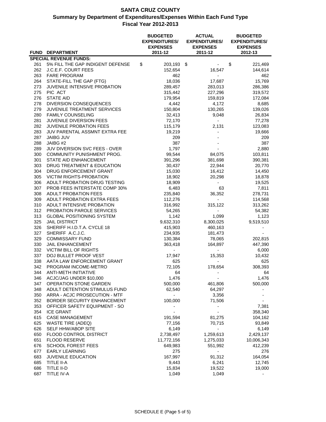|            |                                                                   | <b>BUDGETED</b><br><b>EXPENDITURES/</b><br><b>EXPENSES</b> | <b>ACTUAL</b><br><b>EXPENDITURES/</b><br><b>EXPENSES</b> | <b>BUDGETED</b><br><b>EXPENDITURES/</b><br><b>EXPENSES</b> |            |  |
|------------|-------------------------------------------------------------------|------------------------------------------------------------|----------------------------------------------------------|------------------------------------------------------------|------------|--|
|            | <b>FUND DEPARTMENT</b>                                            | 2011-12                                                    | 2011-12                                                  |                                                            | 2012-13    |  |
| 261        | <b>SPECIAL REVENUE FUNDS:</b><br>5% FILL THE GAP INDIGENT DEFENSE | \$<br>203,193                                              | \$                                                       | \$                                                         | 221,469    |  |
| 262        | <b>J.C.E.F. COURT FEES</b>                                        | 152,654                                                    | 16,547                                                   |                                                            | 144,614    |  |
| 263        | <b>FARE PROGRAM</b>                                               | 462                                                        |                                                          |                                                            | 462        |  |
| 264        | STATE-FILL THE GAP (FTG)                                          | 18,036                                                     | 17,687                                                   |                                                            | 15,769     |  |
| 273        | JUVENILE INTENSIVE PROBATION                                      | 289,457                                                    | 283,013                                                  |                                                            | 286,386    |  |
| 275        | PIC ACT                                                           | 315,442                                                    | 227,296                                                  |                                                            | 319,572    |  |
| 276        | <b>STATE AID</b>                                                  | 179,954                                                    | 159,819                                                  |                                                            | 172,084    |  |
| 278        | <b>DIVERSION CONSEQUENCES</b>                                     | 4,442                                                      | 4,172                                                    |                                                            | 8,685      |  |
| 279        | JUVENILE TREATMENT SERVICES                                       | 150,804                                                    | 130,265                                                  |                                                            | 139,026    |  |
| 280        | <b>FAMILY COUNSELING</b>                                          | 32,413                                                     | 9,048                                                    |                                                            | 26,834     |  |
| 281        | <b>JUVENILE DIVERSION FEES</b>                                    | 72,170                                                     | $\blacksquare$                                           |                                                            | 77,278     |  |
| 282        | <b>JUVENILE PROBATION FEES</b>                                    | 115,179                                                    | 2,131                                                    |                                                            | 123,083    |  |
| 283        | JUV PARENTAL ASSMNT EXTRA FEE                                     | 19,219                                                     | $\overline{\phantom{0}}$                                 |                                                            | 19,666     |  |
| 287        | <b>JAIBG JUV</b>                                                  | 209                                                        |                                                          |                                                            | 209        |  |
| 288        | JAIBG #2                                                          | 387                                                        |                                                          |                                                            | 387        |  |
| 289        | JUV DIVERSION SVC FEES - OVER                                     | 1,797                                                      |                                                          |                                                            | 2,880      |  |
| 300        | <b>COMMUNITY PUNISHMENT PROG.</b>                                 | 99,544                                                     | 84,075                                                   |                                                            | 103,811    |  |
| 301        | STATE AID ENHANCEMENT                                             | 391,296                                                    | 381,698                                                  |                                                            | 390,381    |  |
| 303        | DRUG TREATMENT & EDUCATION                                        | 30,437                                                     | 22,944                                                   |                                                            | 20,770     |  |
| 304        | DRUG ENFORCEMENT GRANT                                            | 15,030                                                     | 16,412                                                   |                                                            | 14,450     |  |
| 305        | <b>VICTIM RIGHTS-PROBATION</b>                                    | 18,902                                                     | 20,298                                                   |                                                            | 18,878     |  |
| 306        | ADULT PROBATION DRUG TESTING                                      | 18,909                                                     |                                                          |                                                            | 19,525     |  |
| 307        | PROB FEES INTERSTATE COMP 30%                                     | 6,483                                                      | 63                                                       |                                                            | 7,811      |  |
| 308        | <b>ADULT PROBATION FEES</b>                                       | 235,840                                                    | 36,352                                                   |                                                            | 278,731    |  |
| 309        | ADULT PROBATION EXTRA FEES                                        | 112,276                                                    | $\overline{\phantom{0}}$                                 |                                                            | 114,568    |  |
| 310        | ADULT INTENSIVE PROBATION                                         | 316,992                                                    | 315,122                                                  |                                                            | 313,262    |  |
| 312        | PROBATION PAROLE SERVICES                                         | 54,265                                                     | $\sim$                                                   |                                                            | 54,382     |  |
| 313        | <b>GLOBAL POSITIONING SYSTEM</b>                                  | 1,142                                                      | 1,099                                                    |                                                            | 1,123      |  |
| 325<br>326 | <b>JAIL DISTRICT</b><br>SHERIFF H.I.D.T.A. CYCLE 18               | 9,632,310                                                  | 8,300,025                                                |                                                            | 9,519,510  |  |
| 327        | SHERIFF A.C.J.C.                                                  | 415,903<br>234,935                                         | 460,163<br>181,473                                       |                                                            |            |  |
| 329        | <b>COMMISSARY FUND</b>                                            | 130,384                                                    | 78,065                                                   |                                                            | 202,815    |  |
| 330        | <b>JAIL ENHANCEMENT</b>                                           | 363,418                                                    | 164,897                                                  |                                                            | 447,390    |  |
| 332        | <b>VICTIM BILL OF RIGHTS</b>                                      |                                                            | $\overline{\phantom{a}}$                                 |                                                            | 6,000      |  |
| 337        | DOJ BULLET PROOF VEST                                             | 17,947                                                     | 15,353                                                   |                                                            | 10,432     |  |
| 338        | AATA LAW ENFORCEMENT GRANT                                        | 625                                                        | $\overline{\phantom{a}}$                                 |                                                            | 625        |  |
| 342        | PROGRAM INCOME-METRO                                              | 72,105                                                     | 178,654                                                  |                                                            | 308,393    |  |
| 344        | <b>ANTI-METH INITIATIVE</b>                                       | 64                                                         |                                                          |                                                            | 64         |  |
| 346        | ACJC/JAG UNDER \$10,000                                           | 1,476                                                      |                                                          |                                                            | 1,476      |  |
| 347        | OPERATION STONE GARDEN                                            | 500,000                                                    | 461,806                                                  |                                                            | 500,000    |  |
| 348        | ADULT DETENTION STIMULUS FUND                                     | 62,540                                                     | 64,297                                                   |                                                            |            |  |
| 350        | ARRA - ACJC PROSECUTION - MTF                                     |                                                            | 3,356                                                    |                                                            |            |  |
| 352        | BORDER SECURITY ENHANCEMENT                                       | 100,000                                                    | 71,506                                                   |                                                            |            |  |
| 353        | OFFICER SAFETY EQUIPMENT - SO                                     |                                                            |                                                          |                                                            | 7,381      |  |
| 354        | <b>ICE GRANT</b>                                                  |                                                            |                                                          |                                                            | 358,340    |  |
| 615        | <b>CASE MANAGEMENT</b>                                            | 191,594                                                    | 81,275                                                   |                                                            | 104,162    |  |
| 625        | <b>WASTE TIRE (ADEQ)</b>                                          | 77,156                                                     | 70,715                                                   |                                                            | 93,849     |  |
| 626        | SELF HHW/ABOP SITE                                                | 6,149                                                      |                                                          |                                                            | 6,149      |  |
| 650        | <b>FLOOD CONTROL DISTRICT</b>                                     | 2,738,497                                                  | 1,259,613                                                |                                                            | 2,429,137  |  |
| 651        | <b>FLOOD RESERVE</b>                                              | 11,772,156                                                 | 1,275,033                                                |                                                            | 10,006,343 |  |
| 676        | <b>SCHOOL FOREST FEES</b>                                         | 649,983                                                    | 551,992                                                  |                                                            | 412,239    |  |
| 677        | <b>EARLY LEARNING</b>                                             | 275                                                        |                                                          |                                                            | 276        |  |
| 683        | <b>JUVENILE EDUCATION</b>                                         | 167,997                                                    | 91,312                                                   |                                                            | 164,054    |  |
| 685        | TITLE II-A                                                        | 9,443                                                      | 6,241                                                    |                                                            | 12,745     |  |
| 686        | TITLE II-D                                                        | 15,834                                                     | 19,522                                                   |                                                            | 19,000     |  |
| 687        | TITLE IV-A                                                        | 1,049                                                      | 1,049                                                    |                                                            |            |  |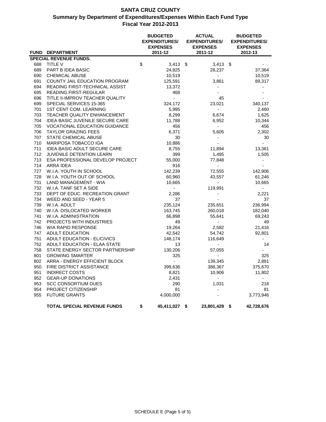|     |                                        | <b>BUDGETED</b><br><b>EXPENDITURES/</b><br><b>EXPENSES</b> | <b>ACTUAL</b><br><b>EXPENDITURES/</b><br><b>EXPENSES</b> |      | <b>BUDGETED</b><br><b>EXPENDITURES/</b><br><b>EXPENSES</b> |
|-----|----------------------------------------|------------------------------------------------------------|----------------------------------------------------------|------|------------------------------------------------------------|
|     | FUND DEPARTMENT                        | 2011-12                                                    | 2011-12                                                  |      | 2012-13                                                    |
|     | <b>SPECIAL REVENUE FUNDS:</b>          |                                                            |                                                          |      |                                                            |
| 688 | <b>TITLE V</b>                         | \$<br>3,413                                                | \$<br>$3,413$ \$                                         |      |                                                            |
| 689 | PART B IDEA BASIC                      | 24,825                                                     | 28,237                                                   |      | 37,364                                                     |
| 690 | <b>CHEMICAL ABUSE</b>                  | 10,519                                                     | $\blacksquare$                                           |      | 10,519                                                     |
| 691 | COUNTY JAIL EDUCATION PROGRAM          | 125,591                                                    | 3,861                                                    |      | 89,317                                                     |
| 694 | READING FIRST-TECHNICAL ASSIST         | 13,372                                                     | $\overline{\phantom{a}}$                                 |      |                                                            |
| 695 | <b>READING FIRST-REGULAR</b>           | 468                                                        |                                                          |      |                                                            |
| 696 | TITLE II-IMPROV TEACHER QUALITY        | $\mathbb{Z}^{\mathbb{Z}}$                                  | 45                                                       |      |                                                            |
| 699 | SPECIAL SERVICES 15-365                | 324,172                                                    | 23,021                                                   |      | 340,137                                                    |
| 701 | <b>1ST CENT COM. LEARNING</b>          | 5,995                                                      | $\sim$                                                   |      | 2,460                                                      |
| 703 | TEACHER QUALITY ENHANCEMENT            | 8,299                                                      | 6,674                                                    |      | 1,625                                                      |
| 704 | <b>IDEA BASIC JUVENILE SECURE CARE</b> | 11,788                                                     | 6,952                                                    |      | 10,344                                                     |
| 705 | <b>VOCATIONAL EDUCATION GUIDANCE</b>   | 456                                                        | $\sim$                                                   |      | 456                                                        |
| 706 | <b>TAYLOR GRAZING FEES</b>             | 6,371                                                      | 5,605                                                    |      | 2,302                                                      |
| 707 | STATE CHEMICAL ABUSE                   | 30                                                         | $\blacksquare$                                           |      | 30                                                         |
| 710 | MARIPOSA TOBACCO IGA                   | 10,886                                                     | $\sim$                                                   |      | $\overline{a}$                                             |
| 711 | <b>IDEA BASIC ADULT SECURE CARE</b>    | 8,755                                                      | 11,894                                                   |      | 13,361                                                     |
| 712 | JUVENILE DETENTION LEARN               | 399                                                        | 1,495                                                    |      | 1,505                                                      |
| 713 | ESA PROFESSIONAL DEVELOP PROJECT       | 55,000                                                     | 77,848                                                   |      | $\overline{\phantom{a}}$                                   |
| 714 | ARRA IDEA                              | 916                                                        | $\sim$                                                   |      | $\sim$                                                     |
| 727 | W.I.A. YOUTH IN SCHOOL                 | 142,239                                                    | 72,555                                                   |      | 142,906                                                    |
| 728 | W.I.A. YOUTH OUT OF SCHOOL             | 60,960                                                     | 43,557                                                   |      | 61,246                                                     |
| 731 | LAND MANAGEMENT - WIA                  | 10,665                                                     | $\sim$                                                   |      | 10,665                                                     |
| 732 | W.I.A. TANF SET A SIDE                 | ÷.                                                         | 119,991                                                  |      | $\sim$                                                     |
| 733 | DEPT OF EDUC. RECREATION GRANT         | 2,286                                                      | $\blacksquare$                                           |      | 2,221                                                      |
| 734 | WEED AND SEED - YEAR 5                 | 37                                                         | $\sim$                                                   |      | 37                                                         |
| 739 | W.I.A. ADULT                           | 235,124                                                    | 235,651                                                  |      | 236,994                                                    |
| 740 | W.I.A. DISLOCATED WORKER               | 163,745                                                    | 260,018                                                  |      | 182,040                                                    |
| 741 | W.I.A. ADMINISTRATION                  | 66,898                                                     | 55,641                                                   |      | 69,243                                                     |
| 742 | <b>PROJECTS WITH INDUSTRIES</b>        | 49                                                         | $\sim$                                                   |      | 49                                                         |
| 746 | WIA RAPID RESPONSE                     | 19,264                                                     | 2,582                                                    |      | 21,416                                                     |
| 747 | ADULT EDUCATION                        | 42,542                                                     | 54,742                                                   |      | 92,801                                                     |
| 751 | ADULT EDUCATION - EL/CIVICS            | 148,174                                                    | 116,649                                                  |      | $\overline{a}$                                             |
| 752 | ADULT EDUCATION - ELAA STATE           | 13                                                         | $\blacksquare$                                           |      | 14                                                         |
| 758 | STATE ENERGY SECTOR PARTNERSHIP        | 130,206                                                    | 57,055                                                   |      | $\overline{\phantom{a}}$                                   |
| 801 | <b>GROWING SMARTER</b>                 | 325                                                        | $\sim$                                                   |      | 325                                                        |
| 802 | ARRA - ENERGY EFFICIENT BLOCK          | $\blacksquare$                                             | 139,345                                                  |      | 2,891                                                      |
| 950 | FIRE DISTRICT ASSISTANCE               | 399,636                                                    | 388,367                                                  |      | 375,670                                                    |
| 951 | <b>INDIRECT COSTS</b>                  | 8,821                                                      | 10,906                                                   |      | 11,802                                                     |
| 952 | <b>GEAR-UP DONATIONS</b>               | 2,431                                                      | $\omega_{\rm c}$                                         |      | $\blacksquare$                                             |
| 953 | <b>SCC CONSORTIUM DUES</b>             | 290                                                        | 1,031                                                    |      | 218                                                        |
| 954 | PROJECT CITIZENSHIP                    | 81                                                         |                                                          |      | 81                                                         |
| 955 | <b>FUTURE GRANTS</b>                   | 4,000,000                                                  |                                                          |      | 3,773,946                                                  |
|     |                                        |                                                            |                                                          |      |                                                            |
|     | <b>TOTAL SPECIAL REVENUE FUNDS</b>     | \$<br>45,411,027                                           | \$<br>23,801,429                                         | - \$ | 42,728,676                                                 |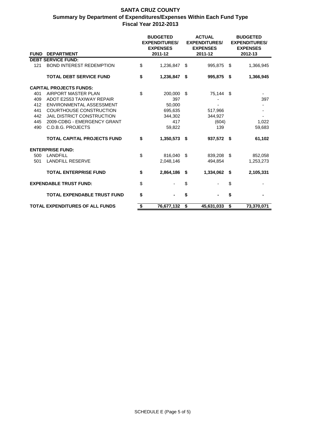|             |                                        |    | <b>BUDGETED</b><br><b>EXPENDITURES/</b><br><b>EXPENSES</b> | <b>ACTUAL</b><br><b>EXPENDITURES/</b><br><b>EXPENSES</b> |            | <b>BUDGETED</b><br><b>EXPENDITURES/</b><br><b>EXPENSES</b> |            |
|-------------|----------------------------------------|----|------------------------------------------------------------|----------------------------------------------------------|------------|------------------------------------------------------------|------------|
| <b>FUND</b> | <b>DEPARTMENT</b>                      |    | 2011-12                                                    |                                                          | 2011-12    |                                                            | 2012-13    |
|             | <b>DEBT SERVICE FUND:</b>              |    |                                                            |                                                          |            |                                                            |            |
| 121         | <b>BOND INTEREST REDEMPTION</b>        | \$ | 1,236,847                                                  | \$.                                                      | 995,875    | \$                                                         | 1,366,945  |
|             | <b>TOTAL DEBT SERVICE FUND</b>         | \$ | 1,236,847                                                  | \$                                                       | 995,875    | \$                                                         | 1,366,945  |
|             | <b>CAPITAL PROJECTS FUNDS:</b>         |    |                                                            |                                                          |            |                                                            |            |
| 401         | AIRPORT MASTER PLAN                    | \$ | 200,000                                                    | \$                                                       | 75,144     | \$                                                         |            |
| 409         | ADOT E2S53 TAXIWAY REPAIR              |    | 397                                                        |                                                          |            |                                                            | 397        |
| 412         | ENVIRONMENTAL ASSESSMENT               |    | 50,000                                                     |                                                          |            |                                                            |            |
| 441         | <b>COURTHOUSE CONSTRUCTION</b>         |    | 695,635                                                    |                                                          | 517,966    |                                                            |            |
| 442         | <b>JAIL DISTRICT CONSTRUCTION</b>      |    | 344,302                                                    |                                                          | 344,927    |                                                            |            |
| 445         | 2009-CDBG - EMERGENCY GRANT            |    | 417                                                        |                                                          | (604)      |                                                            | 1,022      |
| 490         | C.D.B.G. PROJECTS                      |    | 59,822                                                     |                                                          | 139        |                                                            | 59,683     |
|             | <b>TOTAL CAPITAL PROJECTS FUND</b>     | \$ | 1,350,573                                                  | - \$                                                     | 937,572 \$ |                                                            | 61,102     |
|             | <b>ENTERPRISE FUND:</b>                |    |                                                            |                                                          |            |                                                            |            |
| 500         | <b>LANDFILL</b>                        | \$ | 816.040                                                    | - \$                                                     | 839.208    | \$                                                         | 852,058    |
| 501         | <b>LANDFILL RESERVE</b>                |    | 2,048,146                                                  |                                                          | 494,854    |                                                            | 1,253,273  |
|             | <b>TOTAL ENTERPRISE FUND</b>           | \$ | 2,864,186                                                  | \$                                                       | 1,334,062  | \$                                                         | 2,105,331  |
|             | <b>EXPENDABLE TRUST FUND:</b>          | \$ |                                                            | \$                                                       |            | \$                                                         |            |
|             | <b>TOTAL EXPENDABLE TRUST FUND</b>     | \$ |                                                            | \$                                                       |            | \$                                                         |            |
|             | <b>TOTAL EXPENDITURES OF ALL FUNDS</b> | S. | 76,677,132                                                 | \$                                                       | 45,631,033 | \$                                                         | 73,370,071 |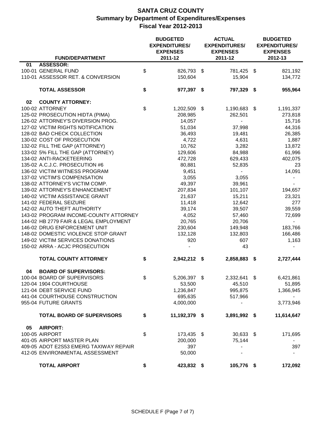|                                        | <b>BUDGETED</b><br><b>EXPENDITURES/</b><br><b>EXPENSES</b> |      | <b>ACTUAL</b><br><b>EXPENDITURES/</b><br><b>EXPENSES</b> | <b>BUDGETED</b><br><b>EXPENDITURES/</b><br><b>EXPENSES</b> |                |
|----------------------------------------|------------------------------------------------------------|------|----------------------------------------------------------|------------------------------------------------------------|----------------|
| <b>FUND/DEPARTMENT</b>                 | 2011-12                                                    |      | 2011-12                                                  |                                                            | 2012-13        |
| <b>ASSESSOR:</b><br>01                 |                                                            |      |                                                          |                                                            |                |
| 100-01 GENERAL FUND                    | \$<br>826,793 \$                                           |      | 781,425 \$                                               |                                                            | 821,192        |
| 110-01 ASSESSOR RET. & CONVERSION      | 150,604                                                    |      | 15,904                                                   |                                                            | 134,772        |
| <b>TOTAL ASSESSOR</b>                  | \$<br>977,397 \$                                           |      | 797,329 \$                                               |                                                            | 955,964        |
| 02<br><b>COUNTY ATTORNEY:</b>          |                                                            |      |                                                          |                                                            |                |
| 100-02 ATTORNEY                        | \$<br>1,202,509                                            | - \$ | 1,190,683 \$                                             |                                                            | 1,191,337      |
| 125-02 PROSECUTION HIDTA (PIMA)        | 208,985                                                    |      | 262,501                                                  |                                                            | 273,818        |
| 126-02 ATTORNEY'S DIVERSION PROG.      | 14,057                                                     |      | $\sim$                                                   |                                                            | 15,716         |
| 127-02 VICTIM RIGHTS NOTIFICATION      | 51,034                                                     |      | 37,998                                                   |                                                            | 44,316         |
| 128-02 BAD CHECK COLLECTION            | 36,493                                                     |      | 19,481                                                   |                                                            | 26,385         |
| 130-02 COST OF PROSECUTION             | 4,722                                                      |      | 4,631                                                    |                                                            | 1,887          |
| 132-02 FILL THE GAP (ATTORNEY)         | 10,762                                                     |      | 3,282                                                    |                                                            | 13,872         |
| 133-02 5% FILL THE GAP (ATTORNEY)      | 129,606                                                    |      | 84,988                                                   |                                                            | 61,996         |
| 134-02 ANTI-RACKETEERING               | 472,728                                                    |      | 629,433                                                  |                                                            | 402,075        |
| 135-02 A.C.J.C. PROSECUTION #6         | 80,881                                                     |      | 52,835                                                   |                                                            | 23             |
| 136-02 VICTIM WITNESS PROGRAM          | 9,451                                                      |      | $\overline{\phantom{a}}$                                 |                                                            | 14,091         |
| 137-02 VICTIM'S COMPENSATION           | 3,055                                                      |      | 3,055                                                    |                                                            |                |
| 138-02 ATTORNEY'S VICTIM COMP.         | 49,397                                                     |      | 39,961                                                   |                                                            |                |
| 139-02 ATTORNEY'S ENHANCEMENT          | 207,834                                                    |      | 101,107                                                  |                                                            | 194,657        |
| 140-02 VICTIM ASSISTANCE GRANT         | 21,637                                                     |      | 15,211                                                   |                                                            | 23,321         |
| 141-02 FEDERAL SEIZURE                 | 11,418                                                     |      | 12,642                                                   |                                                            | 277            |
| 142-02 AUTO THEFT AUTHORITY            | 39,174                                                     |      | 39,507                                                   |                                                            | 39,559         |
| 143-02 PROGRAM INCOME-COUNTY ATTORNEY  | 4,052                                                      |      | 57,460                                                   |                                                            | 72,699         |
| 144-02 HB 2779 FAIR & LEGAL EMPLOYMENT | 20,765                                                     |      | 20,706                                                   |                                                            | $\blacksquare$ |
| 146-02 DRUG ENFORCEMENT UNIT           | 230,604                                                    |      | 149,948                                                  |                                                            | 183,766        |
| 148-02 DOMESTIC VIOLENCE STOP GRANT    | 132,128                                                    |      | 132,803                                                  |                                                            | 166,486        |
| 149-02 VICTIM SERVICES DONATIONS       | 920                                                        |      | 607                                                      |                                                            | 1,163          |
| 150-02 ARRA - ACJC PROSECUTION         |                                                            |      | 43                                                       |                                                            |                |
| <b>TOTAL COUNTY ATTORNEY</b>           | \$<br>2,942,212 \$                                         |      | 2,858,883                                                | \$                                                         | 2,727,444      |
| 04<br><b>BOARD OF SUPERVISORS:</b>     |                                                            |      |                                                          |                                                            |                |
| 100-04 BOARD OF SUPERVISORS            | \$<br>5,206,397 \$                                         |      | 2,332,641 \$                                             |                                                            | 6,421,861      |
| 120-04 1904 COURTHOUSE                 | 53,500                                                     |      | 45,510                                                   |                                                            | 51,895         |
| 121-04 DEBT SERVICE FUND               | 1,236,847                                                  |      | 995,875                                                  |                                                            | 1,366,945      |
| 441-04 COURTHOUSE CONSTRUCTION         | 695,635                                                    |      | 517,966                                                  |                                                            |                |
| 955-04 FUTURE GRANTS                   | 4,000,000                                                  |      | $\overline{\phantom{a}}$                                 |                                                            | 3,773,946      |
| <b>TOTAL BOARD OF SUPERVISORS</b>      | \$<br>11,192,379 \$                                        |      | 3,891,992 \$                                             |                                                            | 11,614,647     |
| 05<br><b>AIRPORT:</b>                  |                                                            |      |                                                          |                                                            |                |
| 100-05 AIRPORT                         | \$<br>173,435 \$                                           |      | $30,633$ \$                                              |                                                            | 171,695        |
| 401-05 AIRPORT MASTER PLAN             | 200,000                                                    |      | 75,144                                                   |                                                            | $\blacksquare$ |
| 409-05 ADOT E2S53 EMERG TAXIWAY REPAIR | 397                                                        |      | $\overline{\phantom{a}}$                                 |                                                            | 397            |
| 412-05 ENVIRONMENTAL ASSESSMENT        | 50,000                                                     |      |                                                          |                                                            | $\blacksquare$ |
| <b>TOTAL AIRPORT</b>                   | \$<br>423,832 \$                                           |      | 105,776 \$                                               |                                                            | 172,092        |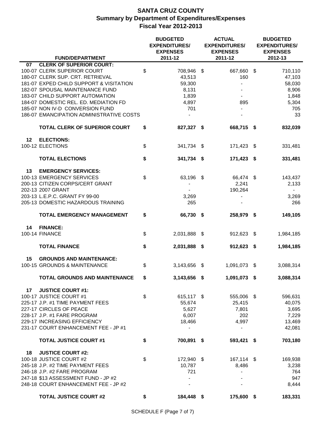|    |                                                                                                                                                                                                                                                                                                                                             | <b>BUDGETED</b><br><b>ACTUAL</b><br><b>EXPENDITURES/</b><br><b>EXPENDITURES/</b><br><b>EXPENSES</b><br><b>EXPENSES</b> |      |                                                                 | <b>BUDGETED</b><br><b>EXPENDITURES/</b><br><b>EXPENSES</b><br>2012-13 |                                                                     |  |
|----|---------------------------------------------------------------------------------------------------------------------------------------------------------------------------------------------------------------------------------------------------------------------------------------------------------------------------------------------|------------------------------------------------------------------------------------------------------------------------|------|-----------------------------------------------------------------|-----------------------------------------------------------------------|---------------------------------------------------------------------|--|
|    | <b>FUND/DEPARTMENT</b>                                                                                                                                                                                                                                                                                                                      | 2011-12                                                                                                                |      | 2011-12                                                         |                                                                       |                                                                     |  |
| 07 | <b>CLERK OF SUPERIOR COURT:</b><br>100-07 CLERK SUPERIOR COURT<br>180-07 CLERK SUP. CRT. RETRIEVAL<br>181-07 EXPED CHILD SUPPORT & VISITATION<br>182-07 SPOUSAL MAINTENANCE FUND<br>183-07 CHILD SUPPORT AUTOMATION<br>184-07 DOMESTIC REL. ED. MEDIATION FD<br>185-07 NON IV-D CONVERSION FUND<br>186-07 EMANCIPATION ADMINISTRATIVE COSTS | \$<br>708,946 \$<br>43,513<br>59,300<br>8,131<br>1,839<br>4,897<br>701                                                 |      | 667,660<br>160<br>895                                           | \$                                                                    | 710,110<br>47,103<br>58,030<br>8,906<br>1,848<br>5,304<br>705<br>33 |  |
|    | <b>TOTAL CLERK OF SUPERIOR COURT</b>                                                                                                                                                                                                                                                                                                        | \$<br>827,327 \$                                                                                                       |      | 668,715 \$                                                      |                                                                       | 832,039                                                             |  |
| 12 | <b>ELECTIONS:</b>                                                                                                                                                                                                                                                                                                                           |                                                                                                                        |      |                                                                 |                                                                       |                                                                     |  |
|    | 100-12 ELECTIONS                                                                                                                                                                                                                                                                                                                            | \$<br>341,734 \$                                                                                                       |      | 171,423                                                         | - \$                                                                  | 331,481                                                             |  |
|    | <b>TOTAL ELECTIONS</b>                                                                                                                                                                                                                                                                                                                      | \$<br>341,734 \$                                                                                                       |      | 171,423 \$                                                      |                                                                       | 331,481                                                             |  |
| 13 | <b>EMERGENCY SERVICES:</b><br>100-13 EMERGENCY SERVICES<br>200-13 CITIZEN CORPS/CERT GRANT<br>202-13 2007 GRANT<br>203-13 L.E.P.C. GRANT FY 99-00<br>205-13 DOMESTIC HAZARDOUS TRAINING                                                                                                                                                     | \$<br>63,196 \$<br>3,269<br>265                                                                                        |      | 66,474 \$<br>2,241<br>190,264                                   |                                                                       | 143,437<br>2,133<br>$\blacksquare$<br>3,269<br>266                  |  |
|    | <b>TOTAL EMERGENCY MANAGEMENT</b>                                                                                                                                                                                                                                                                                                           | \$<br>66,730 \$                                                                                                        |      | 258,979 \$                                                      |                                                                       | 149,105                                                             |  |
| 14 | <b>FINANCE:</b><br>100-14 FINANCE                                                                                                                                                                                                                                                                                                           | \$<br>2,031,888                                                                                                        | - \$ | 912,623                                                         | -\$                                                                   | 1,984,185                                                           |  |
|    | <b>TOTAL FINANCE</b>                                                                                                                                                                                                                                                                                                                        | \$<br>2,031,888 \$                                                                                                     |      | 912,623 \$                                                      |                                                                       | 1,984,185                                                           |  |
| 15 | <b>GROUNDS AND MAINTENANCE:</b><br>100-15 GROUNDS & MAINTENANCE                                                                                                                                                                                                                                                                             | \$<br>3,143,656                                                                                                        | - \$ | 1,091,073                                                       | - \$                                                                  | 3,088,314                                                           |  |
|    | <b>TOTAL GROUNDS AND MAINTENANCE</b>                                                                                                                                                                                                                                                                                                        | \$<br>3,143,656 \$                                                                                                     |      | 1,091,073 \$                                                    |                                                                       | 3,088,314                                                           |  |
| 17 | <b>JUSTICE COURT #1:</b><br>100-17 JUSTICE COURT #1<br>225-17 J.P. #1 TIME PAYMENT FEES<br>227-17 CIRCLES OF PEACE<br>228-17 J.P. #1 FARE PROGRAM<br>229-17 INCREASING EFFICIENCY<br>231-17 COURT ENHANCEMENT FEE - JP #1                                                                                                                   | \$<br>615,117 \$<br>55,674<br>5,627<br>6,007<br>18,466                                                                 |      | 555,006 \$<br>25,415<br>7,801<br>202<br>4,997<br>$\blacksquare$ |                                                                       | 596,631<br>40,075<br>3,695<br>7,229<br>13,469<br>42,081             |  |
|    | <b>TOTAL JUSTICE COURT #1</b>                                                                                                                                                                                                                                                                                                               | \$<br>700,891 \$                                                                                                       |      | 593,421 \$                                                      |                                                                       | 703,180                                                             |  |
| 18 | <b>JUSTICE COURT #2:</b><br>100-18 JUSTICE COURT #2<br>245-18 J.P. #2 TIME PAYMENT FEES<br>246-18 J.P. #2 FARE PROGRAM<br>247-18 \$13 ASSESSMENT FUND - JP #2<br>248-18 COURT ENHANCEMENT FEE - JP #2                                                                                                                                       | \$<br>172,940 \$<br>10,787<br>721                                                                                      |      | 167,114 \$<br>8,486<br>$\blacksquare$                           |                                                                       | 169,938<br>3,238<br>764<br>947<br>8,444                             |  |
|    | <b>TOTAL JUSTICE COURT #2</b>                                                                                                                                                                                                                                                                                                               | \$<br>184,448 \$                                                                                                       |      | 175,600 \$                                                      |                                                                       | 183,331                                                             |  |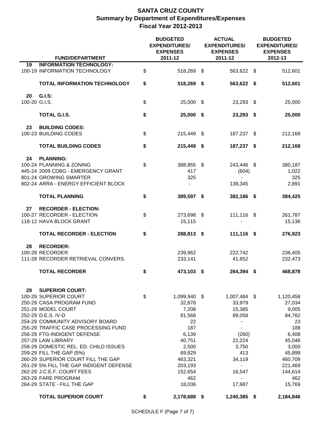|               | <b>FUND/DEPARTMENT</b>                  |    | <b>BUDGETED</b><br><b>EXPENDITURES/</b><br><b>EXPENSES</b><br>2011-12 | <b>ACTUAL</b><br><b>EXPENDITURES/</b><br><b>EXPENSES</b><br>2011-12 | <b>BUDGETED</b><br><b>EXPENDITURES/</b><br><b>EXPENSES</b><br>2012-13 |           |
|---------------|-----------------------------------------|----|-----------------------------------------------------------------------|---------------------------------------------------------------------|-----------------------------------------------------------------------|-----------|
| 19            | <b>INFORMATION TECHNOLOGY:</b>          |    |                                                                       |                                                                     |                                                                       |           |
|               | 100-19 INFORMATION TECHNOLOGY           | \$ | 518,269 \$                                                            | 563,622 \$                                                          |                                                                       | 512,601   |
|               | <b>TOTAL INFORMATION TECHNOLOGY</b>     | \$ | 518,269 \$                                                            | 563,622 \$                                                          |                                                                       | 512,601   |
| 20            | G.I.S:                                  |    |                                                                       |                                                                     |                                                                       |           |
| 100-20 G.I.S. |                                         | \$ | 25,000 \$                                                             | 23,293 \$                                                           |                                                                       | 25,000    |
|               | TOTAL G.I.S.                            | \$ | 25,000 \$                                                             | 23,293 \$                                                           |                                                                       | 25,000    |
| 23            | <b>BUILDING CODES:</b>                  |    |                                                                       |                                                                     |                                                                       |           |
|               | 100-23 BUILDING CODES                   | \$ | 215,449 \$                                                            | 187,237 \$                                                          |                                                                       | 212,168   |
|               | <b>TOTAL BUILDING CODES</b>             | \$ | 215,449 \$                                                            | 187,237 \$                                                          |                                                                       | 212,168   |
| 24            | <b>PLANNING:</b>                        |    |                                                                       |                                                                     |                                                                       |           |
|               | 100-24 PLANNING & ZONING                | \$ | 388,855 \$                                                            | 243,446 \$                                                          |                                                                       | 380,187   |
|               | 445-24 2009 CDBG - EMERGENCY GRANT      |    | 417                                                                   | (604)                                                               |                                                                       | 1,022     |
|               | 801-24 GROWING SMARTER                  |    | 325                                                                   |                                                                     |                                                                       | 325       |
|               | 802-24 ARRA - ENERGY EFFICIENT BLOCK    |    |                                                                       | 139,345                                                             |                                                                       | 2,891     |
|               | <b>TOTAL PLANNING</b>                   | \$ | 389,597 \$                                                            | 382,186 \$                                                          |                                                                       | 384,425   |
| 27            | <b>RECORDER - ELECTION:</b>             |    |                                                                       |                                                                     |                                                                       |           |
|               | 100-27 RECORDER - ELECTION              | \$ | 273,698 \$                                                            | 111,116 \$                                                          |                                                                       | 261,787   |
|               | 118-12 HAVA BLOCK GRANT                 |    | 15,115                                                                |                                                                     |                                                                       | 15,136    |
|               |                                         |    |                                                                       |                                                                     |                                                                       |           |
|               | <b>TOTAL RECORDER - ELECTION</b>        | \$ | 288,813 \$                                                            | 111,116 \$                                                          |                                                                       | 276,923   |
| 28            | <b>RECORDER:</b>                        |    |                                                                       |                                                                     |                                                                       |           |
|               | 100-28 RECORDER                         |    | 239,962                                                               | 222,742                                                             |                                                                       | 236,405   |
|               | 111-28 RECORDER RETRIEVAL CONVERS.      |    | 233,141                                                               | 41,652                                                              |                                                                       | 232,473   |
|               | <b>TOTAL RECORDER</b>                   | \$ | 473,103 \$                                                            | 264,394 \$                                                          |                                                                       | 468,878   |
| 29            | <b>SUPERIOR COURT:</b>                  |    |                                                                       |                                                                     |                                                                       |           |
|               | 100-29 SUPERIOR COURT                   | \$ | 1,099,940 \$                                                          | 1,007,484 \$                                                        |                                                                       | 1,120,458 |
|               | 250-29 CASA PROGRAM FUND                |    | 32,878                                                                | 33,979                                                              |                                                                       | 27,034    |
|               | 251-29 MODEL COURT                      |    | 7,208                                                                 | 15,385                                                              |                                                                       | 9,005     |
|               | 252-29 D.E.S. IV-D                      |    | 81,568                                                                | 89,058                                                              |                                                                       | 84,762    |
|               | 254-29 COMMUNITY ADVISORY BOARD         |    | 22                                                                    |                                                                     |                                                                       | 23        |
|               | 255-29 TRAFFIC CASE PROCESSING FUND     |    | 187                                                                   |                                                                     |                                                                       | 188       |
|               | 256-29 FTG-INDIGENT DEFENSE             |    | 6,139                                                                 | (260)                                                               |                                                                       | 6,408     |
|               | 257-29 LAW LIBRARY                      |    | 40,751                                                                | 22,224                                                              |                                                                       | 45,046    |
|               | 258-29 DOMESTIC REL. ED. CHILD ISSUES   |    | 2,500                                                                 | 3,750                                                               |                                                                       | 3,000     |
|               | 259-29 FILL THE GAP (5%)                |    | 69,829                                                                | 413                                                                 |                                                                       | 45,899    |
|               | 260-29 SUPERIOR COURT FILL THE GAP      |    | 463,321                                                               | 34,119                                                              |                                                                       | 460,709   |
|               | 261-29 5% FILL THE GAP INDIGENT DEFENSE |    | 203,193                                                               | $\sim$                                                              |                                                                       | 221,469   |
|               | 262-29 J.C.E.F. COURT FEES              |    | 152,654                                                               | 16,547                                                              |                                                                       | 144,614   |
|               | 263-29 FARE PROGRAM                     |    | 462                                                                   | $\overline{\phantom{0}}$                                            |                                                                       | 462       |
|               | 264-29 STATE - FILL THE GAP             |    | 18,036                                                                | 17,687                                                              |                                                                       | 15,769    |
|               | <b>TOTAL SUPERIOR COURT</b>             | \$ | 2,178,688 \$                                                          | 1,240,385 \$                                                        |                                                                       | 2,184,846 |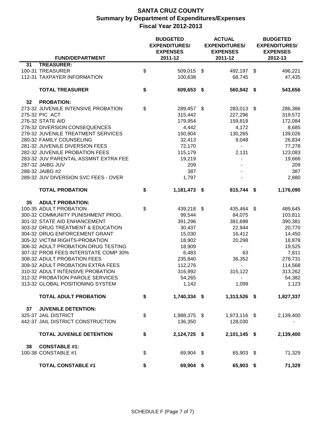|    |                                       | <b>BUDGETED</b><br><b>EXPENDITURES/</b><br><b>EXPENSES</b> |              |  | <b>ACTUAL</b><br><b>EXPENDITURES/</b><br><b>EXPENSES</b> | <b>BUDGETED</b><br><b>EXPENDITURES/</b><br><b>EXPENSES</b> |           |
|----|---------------------------------------|------------------------------------------------------------|--------------|--|----------------------------------------------------------|------------------------------------------------------------|-----------|
|    | <b>FUND/DEPARTMENT</b>                |                                                            | 2011-12      |  | 2011-12                                                  |                                                            | 2012-13   |
| 31 | <b>TREASURER:</b><br>100-31 TREASURER |                                                            | 509,015 \$   |  |                                                          |                                                            |           |
|    | 112-31 TAXPAYER INFORMATION           | \$                                                         |              |  | 492,197 \$                                               |                                                            | 496,221   |
|    |                                       |                                                            | 100,638      |  | 68,745                                                   |                                                            | 47,435    |
|    | <b>TOTAL TREASURER</b>                | \$                                                         | 609,653 \$   |  | 560,942 \$                                               |                                                            | 543,656   |
| 32 | <b>PROBATION:</b>                     |                                                            |              |  |                                                          |                                                            |           |
|    | 273-32 JUVENILE INTENSIVE PROBATION   | \$                                                         | 289,457 \$   |  | 283,013 \$                                               |                                                            | 286,386   |
|    | 275-32 PIC ACT                        |                                                            | 315,442      |  | 227,296                                                  |                                                            | 319,572   |
|    | 276-32 STATE AID                      |                                                            | 179,954      |  | 159,819                                                  |                                                            | 172,084   |
|    | 278-32 DIVERSION CONSEQUENCES         |                                                            | 4,442        |  | 4,172                                                    |                                                            | 8,685     |
|    | 279-32 JUVENILE TREATMENT SERVICES    |                                                            | 150,804      |  | 130,265                                                  |                                                            | 139,026   |
|    | 280-32 FAMILY COUNSELING              |                                                            | 32,413       |  | 9,048                                                    |                                                            | 26,834    |
|    | 281-32 JUVENILE DIVERSION FEES        |                                                            | 72,170       |  | $\blacksquare$                                           |                                                            | 77,278    |
|    | 282-32 JUVENILE PROBATION FEES        |                                                            | 115,179      |  | 2,131                                                    |                                                            | 123,083   |
|    | 283-32 JUV PARENTAL ASSMNT EXTRA FEE  |                                                            | 19,219       |  | $\overline{\phantom{a}}$                                 |                                                            | 19,666    |
|    | 287-32 JAIBG JUV                      |                                                            | 209          |  |                                                          |                                                            | 209       |
|    | 288-32 JAIBG #2                       |                                                            | 387          |  |                                                          |                                                            | 387       |
|    | 289-32 JUV DIVERSION SVC FEES - OVER  |                                                            | 1,797        |  |                                                          |                                                            | 2,880     |
|    | <b>TOTAL PROBATION</b>                | \$                                                         | 1,181,473 \$ |  | 815,744 \$                                               |                                                            | 1,176,090 |
| 35 | <b>ADULT PROBATION:</b>               |                                                            |              |  |                                                          |                                                            |           |
|    | 100-35 ADULT PROBATION                | \$                                                         | 439,218 \$   |  | 435,464 \$                                               |                                                            | 489,645   |
|    | 300-32 COMMUNITY PUNISHMENT PROG.     |                                                            | 99,544       |  | 84,075                                                   |                                                            | 103,811   |
|    | 301-32 STATE AID ENHANCEMENT          |                                                            | 391,296      |  | 381,698                                                  |                                                            | 390,381   |
|    | 303-32 DRUG TREATMENT & EDUCATION     |                                                            | 30,437       |  | 22,944                                                   |                                                            | 20,770    |
|    | 304-32 DRUG ENFORCEMENT GRANT         |                                                            | 15,030       |  | 16,412                                                   |                                                            | 14,450    |
|    | 305-32 VICTIM RIGHTS-PROBATION        |                                                            | 18,902       |  | 20,298                                                   |                                                            | 18,878    |
|    | 306-32 ADULT PROBATION DRUG TESTING   |                                                            | 18,909       |  | $\overline{\phantom{0}}$                                 |                                                            | 19,525    |
|    | 307-32 PROB FEES INTERSTATE COMP 30%  |                                                            | 6,483        |  | 63                                                       |                                                            | 7,811     |
|    | 308-32 ADULT PROBATION FEES           |                                                            | 235,840      |  | 36,352                                                   |                                                            | 278,731   |
|    | 309-32 ADULT PROBATION EXTRA FEES     |                                                            | 112,276      |  | $\overline{\phantom{a}}$                                 |                                                            | 114,568   |
|    | 310-32 ADULT INTENSIVE PROBATION      |                                                            | 316,992      |  | 315,122                                                  |                                                            | 313,262   |
|    | 312-32 PROBATION PAROLE SERVICES      |                                                            | 54,265       |  | $\sim$                                                   |                                                            | 54,382    |
|    | 313-32 GLOBAL POSITIONING SYSTEM      |                                                            | 1,142        |  | 1,099                                                    |                                                            | 1,123     |
|    | <b>TOTAL ADULT PROBATION</b>          | \$                                                         | 1,740,334 \$ |  | 1,313,526 \$                                             |                                                            | 1,827,337 |
| 37 | <b>JUVENILE DETENTION:</b>            |                                                            |              |  |                                                          |                                                            |           |
|    | 325-37 JAIL DISTRICT                  | \$                                                         | 1,988,375 \$ |  | 1,973,116 \$                                             |                                                            | 2,139,400 |
|    | 442-37 JAIL DISTRICT CONSTRUCTION     |                                                            | 136,350      |  | 128,030                                                  |                                                            |           |
|    | <b>TOTAL JUVENILE DETENTION</b>       | \$                                                         | 2,124,725 \$ |  | 2,101,145 \$                                             |                                                            | 2,139,400 |
| 38 | <b>CONSTABLE #1:</b>                  |                                                            |              |  |                                                          |                                                            |           |
|    | 100-38 CONSTABLE #1                   | \$                                                         | 69,904 \$    |  | 65,903 \$                                                |                                                            | 71,329    |
|    | <b>TOTAL CONSTABLE #1</b>             | \$                                                         | 69,904 \$    |  | 65,903 \$                                                |                                                            | 71,329    |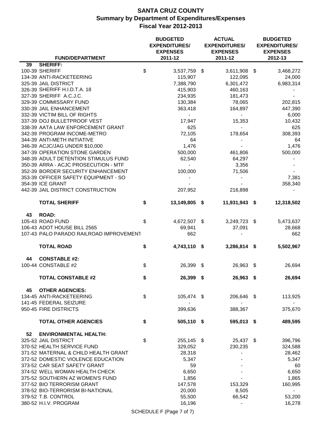|                                         | <b>BUDGETED</b><br><b>EXPENDITURES/</b><br><b>EXPENSES</b> |      | <b>ACTUAL</b><br><b>EXPENDITURES/</b><br><b>EXPENSES</b> | <b>BUDGETED</b><br><b>EXPENDITURES/</b><br><b>EXPENSES</b> |
|-----------------------------------------|------------------------------------------------------------|------|----------------------------------------------------------|------------------------------------------------------------|
| <b>FUND/DEPARTMENT</b>                  | 2011-12                                                    |      | 2011-12                                                  | 2012-13                                                    |
| <b>SHERIFF:</b><br>39<br>100-39 SHERIFF | \$<br>3,537,759 \$                                         |      | 3,611,908 \$                                             | 3,468,272                                                  |
| 134-39 ANTI-RACKETEERING                | 115,907                                                    |      | 122,095                                                  | 24,000                                                     |
| 325-39 JAIL DISTRICT                    | 7,388,790                                                  |      | 6,301,472                                                | 6,983,314                                                  |
| 326-39 SHERIFF H.I.D.T.A. 18            | 415,903                                                    |      | 460,163                                                  |                                                            |
| 327-39 SHERIFF A.C.J.C.                 | 234,935                                                    |      | 181,473                                                  |                                                            |
| 329-39 COMMISSARY FUND                  | 130,384                                                    |      | 78,065                                                   | 202,815                                                    |
| 330-39 JAIL ENHANCEMENT                 | 363,418                                                    |      | 164,897                                                  | 447,390                                                    |
| 332-39 VICTIM BILL OF RIGHTS            | $\blacksquare$                                             |      | $\blacksquare$                                           | 6,000                                                      |
| 337-39 DOJ BULLETPROOF VEST             | 17,947                                                     |      | 15,353                                                   | 10,432                                                     |
| 338-39 AATA LAW ENFORCEMENT GRANT       | 625                                                        |      | $\overline{\phantom{0}}$                                 | 625                                                        |
| 342-39 PROGRAM INCOME-METRO             | 72,105                                                     |      | 178,654                                                  | 308,393                                                    |
| 344-39 ANTI-METH INITIATIVE             | 64                                                         |      |                                                          | 64                                                         |
| 346-39 ACJC/JAG UNDER \$10,000          | 1,476                                                      |      |                                                          | 1,476                                                      |
| 347-39 OPERATION STONE GARDEN           | 500,000                                                    |      | 461,806                                                  | 500,000                                                    |
| 348-39 ADULT DETENTION STIMULUS FUND    | 62,540                                                     |      | 64,297                                                   |                                                            |
| 350-39 ARRA - ACJC PROSECUTION - MTF    | $\blacksquare$                                             |      | 3,356                                                    |                                                            |
| 352-39 BORDER SECURITY ENHANCEMENT      | 100,000                                                    |      | 71,506                                                   |                                                            |
| 353-39 OFFICER SAFETY EQUIPMENT - SO    | $\overline{\phantom{0}}$                                   |      |                                                          | 7,381                                                      |
| 354-39 ICE GRANT                        |                                                            |      |                                                          | 358,340                                                    |
| 442-39 JAIL DISTRICT CONSTRUCTION       | 207,952                                                    |      | 216,898                                                  |                                                            |
| <b>TOTAL SHERIFF</b>                    | \$<br>13,149,805 \$                                        |      | 11,931,943 \$                                            | 12,318,502                                                 |
| <b>ROAD:</b><br>43                      |                                                            |      |                                                          |                                                            |
| 105-43 ROAD FUND                        | \$<br>4,672,507 \$                                         |      | 3,249,723 \$                                             | 5,473,637                                                  |
| 106-43 ADOT HOUSE BILL 2565             | 69,941                                                     |      | 37,091                                                   | 28,668                                                     |
| 107-43 PALO PARADO RAILROAD IMPROVEMENT | 662                                                        |      |                                                          | 662                                                        |
| <b>TOTAL ROAD</b>                       | \$<br>4,743,110 \$                                         |      | 3,286,814 \$                                             | 5,502,967                                                  |
| <b>CONSTABLE #2:</b><br>44              |                                                            |      |                                                          |                                                            |
| 100-44 CONSTABLE #2                     | \$<br>26,399                                               | - \$ | 26,963 \$                                                | 26,694                                                     |
|                                         |                                                            |      |                                                          |                                                            |
| <b>TOTAL CONSTABLE #2</b>               | \$<br>26,399 \$                                            |      | 26,963 \$                                                | 26,694                                                     |
| <b>OTHER AGENCIES:</b><br>45            |                                                            |      |                                                          |                                                            |
| 134-45 ANTI-RACKETEERING                | \$<br>105,474 \$                                           |      | 206,646 \$                                               | 113,925                                                    |
| 141-45 FEDERAL SEIZURE                  |                                                            |      |                                                          |                                                            |
| 950-45 FIRE DISTRICTS                   | 399,636                                                    |      | 388,367                                                  | 375,670                                                    |
| <b>TOTAL OTHER AGENCIES</b>             | \$<br>505,110 \$                                           |      | 595,013 \$                                               | 489,595                                                    |
| 52<br><b>ENVIRONMENTAL HEALTH:</b>      |                                                            |      |                                                          |                                                            |
| 325-52 JAIL DISTRICT                    | \$<br>255,145 \$                                           |      | 25,437 \$                                                | 396,796                                                    |
| 370-52 HEALTH SERVICE FUND              | 329,052                                                    |      | 230,235                                                  | 324,588                                                    |
| 371-52 MATERNAL & CHILD HEALTH GRANT    | 28,318                                                     |      |                                                          | 28,462                                                     |
| 372-52 DOMESTIC VIOLENCE EDUCATION      | 5,347                                                      |      |                                                          | 5,347                                                      |
| 373-52 CAR SEAT SAFETY GRANT            | 59                                                         |      |                                                          | 60                                                         |
| 374-52 WELL WOMAN HEALTH CHECK          | 6,650                                                      |      |                                                          | 6,650                                                      |
| 375-52 SOUTHERN AZ WOMEN'S FUND         | 1,856                                                      |      |                                                          | 1,865                                                      |
| 377-52 BIO TERRORISM GRANT              | 147,578                                                    |      | 153,329                                                  | 160,995                                                    |
| 378-52 BIO-TERRORISM BI-NATIONAL        | 20,000                                                     |      | 8,505                                                    | $\blacksquare$                                             |
| 379-52 T.B. CONTROL                     | 55,500                                                     |      | 66,542                                                   | 53,200                                                     |
| 380-52 H.I.V. PROGRAM                   | 16,196                                                     |      | $\blacksquare$                                           | 16,278                                                     |
|                                         |                                                            |      |                                                          |                                                            |

SCHEDULE F (Page 7 of 7)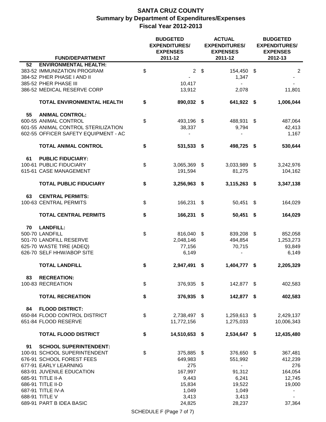|    |                                                                                                                    | <b>BUDGETED</b><br><b>EXPENDITURES/</b><br><b>EXPENSES</b> |                          |      |                                                 |    |                          |  |
|----|--------------------------------------------------------------------------------------------------------------------|------------------------------------------------------------|--------------------------|------|-------------------------------------------------|----|--------------------------|--|
|    | <b>FUND/DEPARTMENT</b>                                                                                             |                                                            | 2011-12                  |      | 2011-12                                         |    | 2012-13                  |  |
| 52 | <b>ENVIRONMENTAL HEALTH:</b><br>383-52 IMMUNIZATION PROGRAM<br>384-52 PHER PHASE I AND II<br>385-52 PHER PHASE III | \$                                                         | 2 <sup>7</sup><br>10,417 | - \$ | 154,450 \$<br>1,347<br>$\overline{\phantom{a}}$ |    | $\overline{2}$           |  |
|    | 386-52 MEDICAL RESERVE CORP                                                                                        |                                                            | 13,912                   |      | 2,078                                           |    | 11,801                   |  |
|    | TOTAL ENVIRONMENTAL HEALTH                                                                                         | \$                                                         | 890,032 \$               |      | 641,922 \$                                      |    | 1,006,044                |  |
| 55 | <b>ANIMAL CONTROL:</b><br>600-55 ANIMAL CONTROL<br>601-55 ANIMAL CONTROL STERILIZATION                             | \$                                                         | 493,196 \$<br>38,337     |      | 488,931 \$<br>9,794                             |    | 487,064<br>42,413        |  |
|    | 602-55 OFFICER SAFETY EQUIPMENT - AC                                                                               |                                                            |                          |      |                                                 |    | 1,167                    |  |
|    | <b>TOTAL ANIMAL CONTROL</b>                                                                                        | \$                                                         | 531,533 \$               |      | 498,725 \$                                      |    | 530,644                  |  |
| 61 | <b>PUBLIC FIDUCIARY:</b>                                                                                           |                                                            |                          |      |                                                 |    |                          |  |
|    | 100-61 PUBLIC FIDUCIARY<br>615-61 CASE MANAGEMENT                                                                  | \$                                                         | 3,065,369 \$<br>191,594  |      | 3,033,989 \$<br>81,275                          |    | 3,242,976<br>104,162     |  |
|    | <b>TOTAL PUBLIC FIDUCIARY</b>                                                                                      | \$                                                         | 3,256,963 \$             |      | 3,115,263 \$                                    |    | 3,347,138                |  |
| 63 | <b>CENTRAL PERMITS:</b><br>100-63 CENTRAL PERMITS                                                                  | \$                                                         | 166,231 \$               |      | 50,451                                          | \$ | 164,029                  |  |
|    | <b>TOTAL CENTRAL PERMITS</b>                                                                                       | \$                                                         | 166,231 \$               |      | 50,451 \$                                       |    | 164,029                  |  |
| 70 | <b>LANDFILL:</b>                                                                                                   |                                                            |                          |      |                                                 |    |                          |  |
|    | 500-70 LANDFILL                                                                                                    | \$                                                         | 816,040                  | \$   | 839,208 \$                                      |    | 852,058                  |  |
|    | 501-70 LANDFILL RESERVE                                                                                            |                                                            | 2,048,146                |      | 494,854                                         |    | 1,253,273                |  |
|    | 625-70 WASTE TIRE (ADEQ)                                                                                           |                                                            | 77,156                   |      | 70,715                                          |    | 93,849                   |  |
|    | 626-70 SELF HHW/ABOP SITE                                                                                          |                                                            | 6,149                    |      | $\qquad \qquad \blacksquare$                    |    | 6,149                    |  |
|    | <b>TOTAL LANDFILL</b>                                                                                              | \$                                                         | 2,947,491                | - 5  | 1,404,777 \$                                    |    | 2,205,329                |  |
| 83 | <b>RECREATION:</b>                                                                                                 |                                                            |                          |      |                                                 |    |                          |  |
|    | 100-83 RECREATION<br><b>TOTAL RECREATION</b>                                                                       | \$<br>\$                                                   | 376,935 \$<br>376,935 \$ |      | 142,877 \$<br>142,877 \$                        |    | 402,583<br>402,583       |  |
| 84 | <b>FLOOD DISTRICT:</b>                                                                                             |                                                            |                          |      |                                                 |    |                          |  |
|    | 650-84 FLOOD CONTROL DISTRICT                                                                                      | \$                                                         | 2,738,497 \$             |      | 1,259,613 \$                                    |    | 2,429,137                |  |
|    | 651-84 FLOOD RESERVE                                                                                               |                                                            | 11,772,156               |      | 1,275,033                                       |    | 10,006,343               |  |
|    | <b>TOTAL FLOOD DISTRICT</b>                                                                                        | \$                                                         | 14,510,653 \$            |      | 2,534,647 \$                                    |    | 12,435,480               |  |
| 91 | <b>SCHOOL SUPERINTENDENT:</b>                                                                                      |                                                            |                          |      |                                                 |    |                          |  |
|    | 100-91 SCHOOL SUPERINTENDENT                                                                                       | \$                                                         | 375,885 \$               |      | 376,650 \$                                      |    | 367,481                  |  |
|    | 676-91 SCHOOL FOREST FEES                                                                                          |                                                            | 649,983                  |      | 551,992                                         |    | 412,239                  |  |
|    | 677-91 EARLY LEARNING                                                                                              |                                                            | 275                      |      | $\blacksquare$                                  |    | 276                      |  |
|    | 683-91 JUVENILE EDUCATION                                                                                          |                                                            | 167,997                  |      | 91,312                                          |    | 164,054                  |  |
|    | 685-91 TITLE II-A                                                                                                  |                                                            | 9,443                    |      | 6,241                                           |    | 12,745                   |  |
|    | 686-91 TITLE II-D                                                                                                  |                                                            | 15,834                   |      | 19,522                                          |    | 19,000                   |  |
|    | 687-91 TITLE IV-A                                                                                                  |                                                            | 1,049                    |      | 1,049                                           |    | $\overline{\phantom{a}}$ |  |
|    | 688-91 TITLE V                                                                                                     |                                                            | 3,413                    |      | 3,413                                           |    |                          |  |
|    | 689-91 PART B IDEA BASIC                                                                                           |                                                            | 24,825                   |      | 28,237                                          |    | 37,364                   |  |

SCHEDULE F (Page 7 of 7)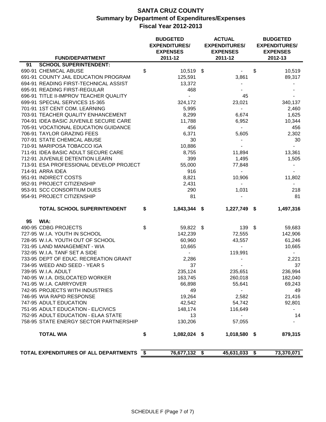|                                         | <b>BUDGETED</b><br><b>EXPENDITURES/</b><br><b>EXPENSES</b> | <b>ACTUAL</b><br><b>EXPENDITURES/</b><br><b>EXPENSES</b> |              | <b>BUDGETED</b><br><b>EXPENDITURES/</b><br><b>EXPENSES</b> |
|-----------------------------------------|------------------------------------------------------------|----------------------------------------------------------|--------------|------------------------------------------------------------|
| <b>FUND/DEPARTMENT</b>                  | 2011-12                                                    | 2011-12                                                  |              | 2012-13                                                    |
| <b>SCHOOL SUPERINTENDENT:</b><br>91     |                                                            |                                                          |              |                                                            |
| 690-91 CHEMICAL ABUSE                   | \$<br>10,519 \$                                            |                                                          | $\mathbb{S}$ | 10,519                                                     |
| 691-91 COUNTY JAIL EDUCATION PROGRAM    | 125,591                                                    | 3,861                                                    |              | 89,317                                                     |
| 694-91 READING FIRST-TECHNICAL ASSIST   | 13,372                                                     |                                                          |              |                                                            |
| 695-91 READING FIRST-REGULAR            | 468                                                        |                                                          |              |                                                            |
| 696-91 TITLE II-IMPROV TEACHER QUALITY  | $\blacksquare$                                             | 45                                                       |              |                                                            |
| 699-91 SPECIAL SERVICES 15-365          | 324,172                                                    | 23,021                                                   |              | 340,137                                                    |
| 701-91 1ST CENT COM. LEARNING           | 5,995                                                      | $\blacksquare$                                           |              | 2,460                                                      |
| 703-91 TEACHER QUALITY ENHANCEMENT      | 8,299                                                      | 6,674                                                    |              | 1,625                                                      |
| 704-91 IDEA BASIC JUVENILE SECURE CARE  | 11,788                                                     | 6,952                                                    |              | 10,344                                                     |
| 705-91 VOCATIONAL EDUCATION GUIDANCE    | 456                                                        | $\blacksquare$                                           |              | 456                                                        |
| 706-91 TAYLOR GRAZING FEES              | 6,371                                                      | 5,605                                                    |              | 2,302                                                      |
| 707-91 STATE CHEMICAL ABUSE             | 30                                                         | $\blacksquare$                                           |              | 30                                                         |
| 710-91 MARIPOSA TOBACCO IGA             | 10,886                                                     |                                                          |              | $\sim$                                                     |
| 711-91 IDEA BASIC ADULT SECURE CARE     | 8,755                                                      | 11,894                                                   |              | 13,361                                                     |
| 712-91 JUVENILE DETENTION LEARN         | 399                                                        | 1,495                                                    |              | 1,505                                                      |
| 713-91 ESA PROFESSIONAL DEVELOP PROJECT | 55,000                                                     | 77,848                                                   |              |                                                            |
| 714-91 ARRA IDEA                        | 916                                                        | $\overline{\phantom{0}}$                                 |              |                                                            |
| 951-91 INDIRECT COSTS                   | 8,821                                                      | 10,906                                                   |              | 11,802                                                     |
| 952-91 PROJECT CITIZENSHIP              | 2,431                                                      | $\blacksquare$                                           |              |                                                            |
| 953-91 SCC CONSORTIUM DUES              | 290                                                        | 1,031                                                    |              | 218                                                        |
| 954-91 PROJECT CITIZENSHIP              | 81                                                         |                                                          |              | 81                                                         |
| TOTAL SCHOOL SUPERINTENDENT             | \$<br>1,843,344 \$                                         | 1,227,749 \$                                             |              | 1,497,316                                                  |
| WIA:<br>95                              |                                                            |                                                          |              |                                                            |
| 490-95 CDBG PROJECTS                    | \$<br>59,822 \$                                            | $139$ \$                                                 |              | 59,683                                                     |
| 727-95 W.I.A. YOUTH IN SCHOOL           | 142,239                                                    | 72,555                                                   |              | 142,906                                                    |
| 728-95 W.I.A. YOUTH OUT OF SCHOOL       | 60,960                                                     | 43,557                                                   |              | 61,246                                                     |
| 731-95 LAND MANAGEMENT - WIA            | 10,665                                                     | $\sim$                                                   |              | 10,665                                                     |
| 732-95 W.I.A. TANF SET A SIDE           | $\sim$                                                     | 119,991                                                  |              | $\sim$                                                     |
| 733-95 DEPT OF EDUC. RECREATION GRANT   | 2,286                                                      |                                                          |              | 2,221                                                      |
| 734-95 WEED AND SEED - YEAR 5           | 37                                                         |                                                          |              | 37                                                         |
| 739-95 W.I.A. ADULT                     | 235,124                                                    | 235,651                                                  |              | 236,994                                                    |
| 740-95 W.I.A. DISLOCATED WORKER         | 163,745                                                    | 260,018                                                  |              | 182,040                                                    |
| 741-95 W.I.A. CARRYOVER                 | 66,898                                                     | 55,641                                                   |              | 69,243                                                     |
| 742-95 PROJECTS WITH INDUSTRIES         | 49                                                         | $\blacksquare$                                           |              | 49                                                         |
| 746-95 WIA RAPID RESPONSE               | 19,264                                                     | 2,582                                                    |              | 21,416                                                     |
| 747-95 ADULT EDUCATION                  | 42,542                                                     | 54,742                                                   |              | 92,801                                                     |
| 751-95 ADULT EDUCATION - EL/CIVICS      | 148,174                                                    | 116,649                                                  |              |                                                            |
| 752-95 ADULT EDUCATION - ELAA STATE     | 13                                                         | $\overline{\phantom{0}}$                                 |              | 14                                                         |
| 758-95 STATE ENERGY SECTOR PARTNERSHIP  | 130,206                                                    | 57,055                                                   |              |                                                            |
| <b>TOTAL WIA</b>                        | \$<br>1,082,024 \$                                         | 1,018,580 \$                                             |              | 879,315                                                    |
| TOTAL EXPENDITURES OF ALL DEPARTMENTS   | \$<br>76,677,132 \$                                        | 45,631,033 \$                                            |              | 73,370,071                                                 |